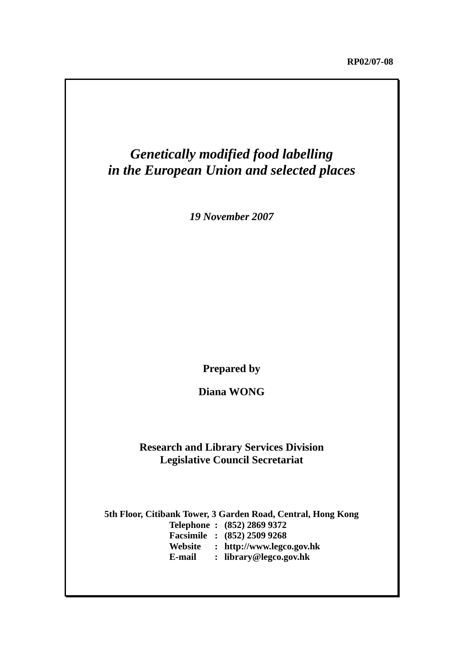# *Genetically modified food labelling in the European Union and selected places*

*19 November 2007*

**Prepared by** 

**Diana WONG** 

## **Research and Library Services Division Legislative Council Secretariat**

**5th Floor, Citibank Tower, 3 Garden Road, Central, Hong Kong Telephone : (852) 2869 9372 Facsimile : (852) 2509 9268 Website : http://www.legco.gov.hk E-mail : library@legco.gov.hk**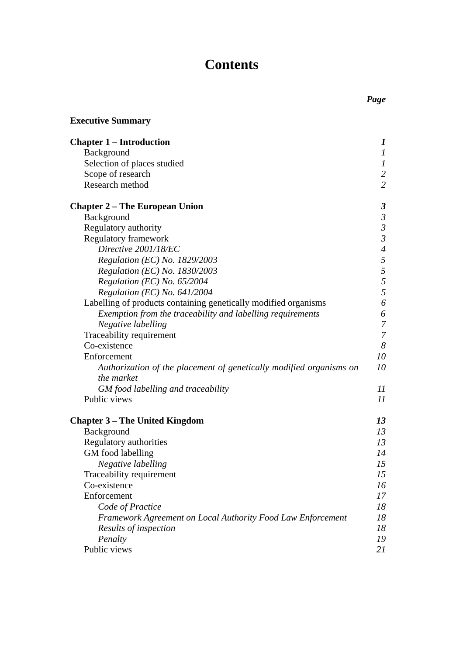# **Contents**

| <b>Executive Summary</b>                                            |                          |
|---------------------------------------------------------------------|--------------------------|
| <b>Chapter 1 – Introduction</b>                                     | 1                        |
| Background                                                          | $\boldsymbol{l}$         |
| Selection of places studied                                         | $\boldsymbol{l}$         |
| Scope of research                                                   | $\overline{c}$           |
| Research method                                                     | $\overline{2}$           |
| <b>Chapter 2 – The European Union</b>                               | 3                        |
| Background                                                          | $\mathfrak{Z}$           |
| Regulatory authority                                                | $\mathfrak{Z}$           |
| <b>Regulatory framework</b>                                         | $\mathfrak{Z}$           |
| Directive 2001/18/EC                                                | $\overline{\mathcal{A}}$ |
| Regulation (EC) No. 1829/2003                                       | 5                        |
| Regulation (EC) No. 1830/2003                                       | 5                        |
| Regulation (EC) No. $65/2004$                                       | 5                        |
| Regulation (EC) No. $641/2004$                                      | $\overline{5}$           |
| Labelling of products containing genetically modified organisms     | 6                        |
| Exemption from the traceability and labelling requirements          | 6                        |
| Negative labelling                                                  | $\overline{7}$           |
| Traceability requirement                                            | $\overline{7}$           |
| Co-existence                                                        | 8                        |
| Enforcement                                                         | 10                       |
| Authorization of the placement of genetically modified organisms on | 10                       |
| the market                                                          |                          |
| GM food labelling and traceability                                  | $_{II}$                  |
| Public views                                                        | 11                       |
| <b>Chapter 3 - The United Kingdom</b>                               | 13                       |
| <b>Background</b>                                                   | 13                       |
| Regulatory authorities                                              | 13                       |
| GM food labelling                                                   | 14                       |
| Negative labelling                                                  | 15                       |
| Traceability requirement                                            | 15                       |
| Co-existence                                                        | 16                       |
| Enforcement                                                         | 17                       |
| Code of Practice                                                    | 18                       |
| Framework Agreement on Local Authority Food Law Enforcement         | 18                       |
| Results of inspection                                               | 18                       |
| Penalty                                                             | 19                       |
| Public views                                                        | 21                       |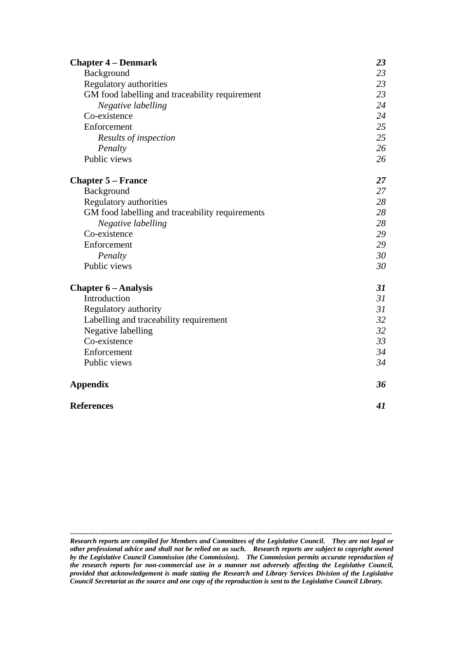| <b>Chapter 4 – Denmark</b>                      | 23 |
|-------------------------------------------------|----|
| Background                                      | 23 |
| Regulatory authorities                          | 23 |
| GM food labelling and traceability requirement  | 23 |
| Negative labelling                              | 24 |
| Co-existence                                    | 24 |
| Enforcement                                     | 25 |
| Results of inspection                           | 25 |
| Penalty                                         | 26 |
| Public views                                    | 26 |
| <b>Chapter 5 – France</b>                       | 27 |
| Background                                      | 27 |
| Regulatory authorities                          | 28 |
| GM food labelling and traceability requirements | 28 |
| Negative labelling                              | 28 |
| Co-existence                                    | 29 |
| Enforcement                                     | 29 |
| Penalty                                         | 30 |
| Public views                                    | 30 |
| <b>Chapter 6 – Analysis</b>                     | 31 |
| Introduction                                    | 31 |
| Regulatory authority                            | 31 |
| Labelling and traceability requirement          | 32 |
| Negative labelling                              | 32 |
| Co-existence                                    | 33 |
| Enforcement                                     | 34 |
| Public views                                    | 34 |
| <b>Appendix</b>                                 | 36 |
| <b>References</b>                               | 41 |

*------------------------------------------------------------------------------------------------------------------------------------------ Research reports are compiled for Members and Committees of the Legislative Council. They are not legal or other professional advice and shall not be relied on as such. Research reports are subject to copyright owned by the Legislative Council Commission (the Commission). The Commission permits accurate reproduction of the research reports for non-commercial use in a manner not adversely affecting the Legislative Council, provided that acknowledgement is made stating the Research and Library Services Division of the Legislative Council Secretariat as the source and one copy of the reproduction is sent to the Legislative Council Library.*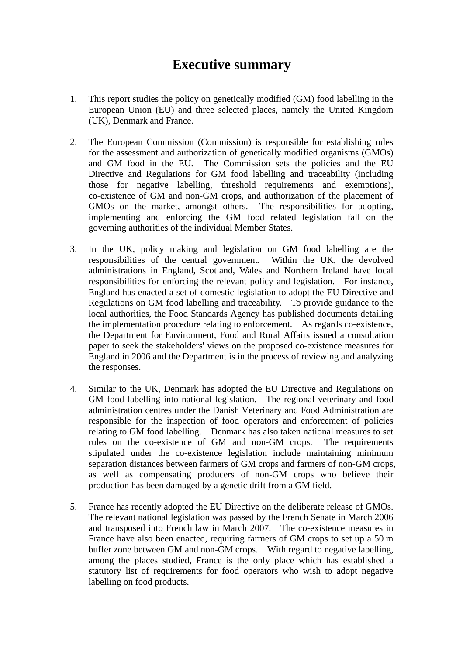# **Executive summary**

- 1. This report studies the policy on genetically modified (GM) food labelling in the European Union (EU) and three selected places, namely the United Kingdom (UK), Denmark and France.
- 2. The European Commission (Commission) is responsible for establishing rules for the assessment and authorization of genetically modified organisms (GMOs) and GM food in the EU. The Commission sets the policies and the EU Directive and Regulations for GM food labelling and traceability (including those for negative labelling, threshold requirements and exemptions), co-existence of GM and non-GM crops, and authorization of the placement of GMOs on the market, amongst others. The responsibilities for adopting, implementing and enforcing the GM food related legislation fall on the governing authorities of the individual Member States.
- 3. In the UK, policy making and legislation on GM food labelling are the responsibilities of the central government. Within the UK, the devolved administrations in England, Scotland, Wales and Northern Ireland have local responsibilities for enforcing the relevant policy and legislation. For instance, England has enacted a set of domestic legislation to adopt the EU Directive and Regulations on GM food labelling and traceability. To provide guidance to the local authorities, the Food Standards Agency has published documents detailing the implementation procedure relating to enforcement. As regards co-existence, the Department for Environment, Food and Rural Affairs issued a consultation paper to seek the stakeholders' views on the proposed co-existence measures for England in 2006 and the Department is in the process of reviewing and analyzing the responses.
- 4. Similar to the UK, Denmark has adopted the EU Directive and Regulations on GM food labelling into national legislation. The regional veterinary and food administration centres under the Danish Veterinary and Food Administration are responsible for the inspection of food operators and enforcement of policies relating to GM food labelling. Denmark has also taken national measures to set rules on the co-existence of GM and non-GM crops. The requirements stipulated under the co-existence legislation include maintaining minimum separation distances between farmers of GM crops and farmers of non-GM crops, as well as compensating producers of non-GM crops who believe their production has been damaged by a genetic drift from a GM field.
- 5. France has recently adopted the EU Directive on the deliberate release of GMOs. The relevant national legislation was passed by the French Senate in March 2006 and transposed into French law in March 2007. The co-existence measures in France have also been enacted, requiring farmers of GM crops to set up a 50 m buffer zone between GM and non-GM crops. With regard to negative labelling, among the places studied, France is the only place which has established a statutory list of requirements for food operators who wish to adopt negative labelling on food products.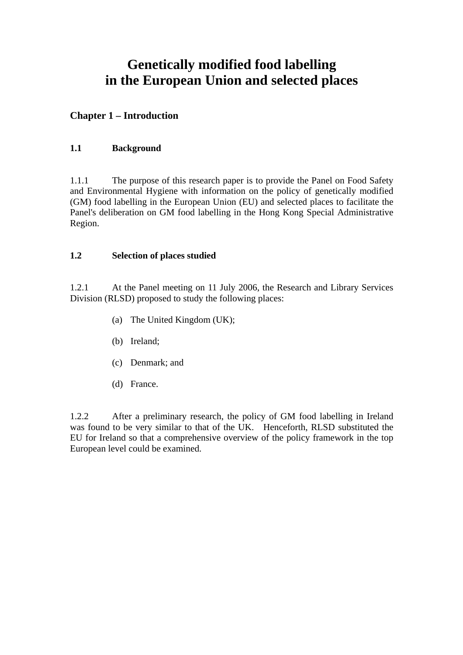# **Genetically modified food labelling in the European Union and selected places**

## **Chapter 1 – Introduction**

## **1.1 Background**

1.1.1 The purpose of this research paper is to provide the Panel on Food Safety and Environmental Hygiene with information on the policy of genetically modified (GM) food labelling in the European Union (EU) and selected places to facilitate the Panel's deliberation on GM food labelling in the Hong Kong Special Administrative Region.

### **1.2 Selection of places studied**

1.2.1 At the Panel meeting on 11 July 2006, the Research and Library Services Division (RLSD) proposed to study the following places:

- (a) The United Kingdom (UK);
- (b) Ireland;
- (c) Denmark; and
- (d) France.

1.2.2 After a preliminary research, the policy of GM food labelling in Ireland was found to be very similar to that of the UK. Henceforth, RLSD substituted the EU for Ireland so that a comprehensive overview of the policy framework in the top European level could be examined.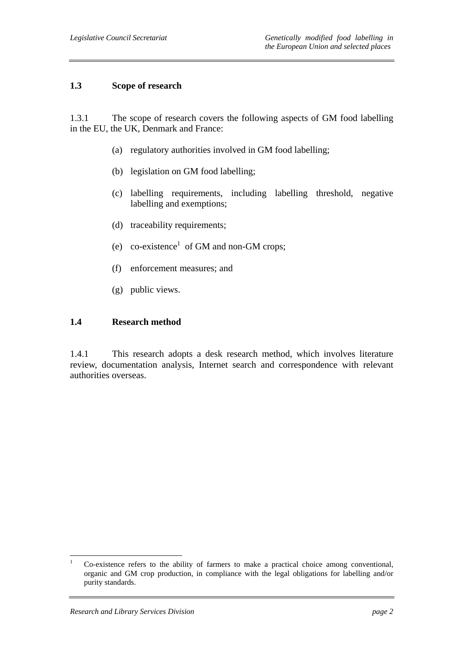#### **1.3 Scope of research**

1.3.1 The scope of research covers the following aspects of GM food labelling in the EU, the UK, Denmark and France:

- (a) regulatory authorities involved in GM food labelling;
- (b) legislation on GM food labelling;
- (c) labelling requirements, including labelling threshold, negative labelling and exemptions;
- (d) traceability requirements;
- (e) co-existence<sup>1</sup> of GM and non-GM crops;
- (f) enforcement measures; and
- (g) public views.

#### **1.4 Research method**

1.4.1 This research adopts a desk research method, which involves literature review, documentation analysis, Internet search and correspondence with relevant authorities overseas.

 $\frac{1}{1}$  Co-existence refers to the ability of farmers to make a practical choice among conventional, organic and GM crop production, in compliance with the legal obligations for labelling and/or purity standards.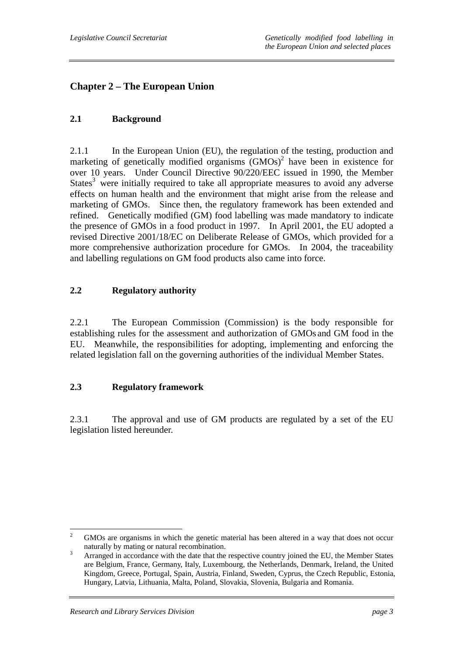## **Chapter 2 – The European Union**

### **2.1 Background**

2.1.1 In the European Union (EU), the regulation of the testing, production and marketing of genetically modified organisms  $(GMOs)^2$  have been in existence for over 10 years. Under Council Directive 90/220/EEC issued in 1990, the Member States<sup>3</sup> were initially required to take all appropriate measures to avoid any adverse effects on human health and the environment that might arise from the release and marketing of GMOs. Since then, the regulatory framework has been extended and refined. Genetically modified (GM) food labelling was made mandatory to indicate the presence of GMOs in a food product in 1997. In April 2001, the EU adopted a revised Directive 2001/18/EC on Deliberate Release of GMOs, which provided for a more comprehensive authorization procedure for GMOs. In 2004, the traceability and labelling regulations on GM food products also came into force.

#### **2.2 Regulatory authority**

2.2.1 The European Commission (Commission) is the body responsible for establishing rules for the assessment and authorization of GMOs and GM food in the EU. Meanwhile, the responsibilities for adopting, implementing and enforcing the related legislation fall on the governing authorities of the individual Member States.

#### **2.3 Regulatory framework**

2.3.1 The approval and use of GM products are regulated by a set of the EU legislation listed hereunder.

 $\frac{1}{2}$  GMOs are organisms in which the genetic material has been altered in a way that does not occur naturally by mating or natural recombination.

Arranged in accordance with the date that the respective country joined the EU, the Member States are Belgium, France, Germany, Italy, Luxembourg, the Netherlands, Denmark, Ireland, the United Kingdom, Greece, Portugal, Spain, Austria, Finland, Sweden, Cyprus, the Czech Republic, Estonia, Hungary, Latvia, Lithuania, Malta, Poland, Slovakia, Slovenia, Bulgaria and Romania.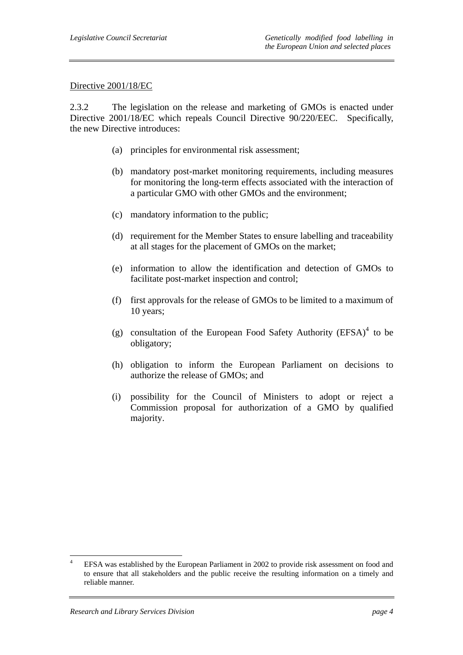#### Directive 2001/18/EC

2.3.2 The legislation on the release and marketing of GMOs is enacted under Directive 2001/18/EC which repeals Council Directive 90/220/EEC. Specifically, the new Directive introduces:

- (a) principles for environmental risk assessment;
- (b) mandatory post-market monitoring requirements, including measures for monitoring the long-term effects associated with the interaction of a particular GMO with other GMOs and the environment;
- (c) mandatory information to the public;
- (d) requirement for the Member States to ensure labelling and traceability at all stages for the placement of GMOs on the market;
- (e) information to allow the identification and detection of GMOs to facilitate post-market inspection and control;
- (f) first approvals for the release of GMOs to be limited to a maximum of 10 years;
- (g) consultation of the European Food Safety Authority  $(EFSA)^4$  to be obligatory;
- (h) obligation to inform the European Parliament on decisions to authorize the release of GMOs; and
- (i) possibility for the Council of Ministers to adopt or reject a Commission proposal for authorization of a GMO by qualified majority.

 $\frac{1}{4}$  EFSA was established by the European Parliament in 2002 to provide risk assessment on food and to ensure that all stakeholders and the public receive the resulting information on a timely and reliable manner.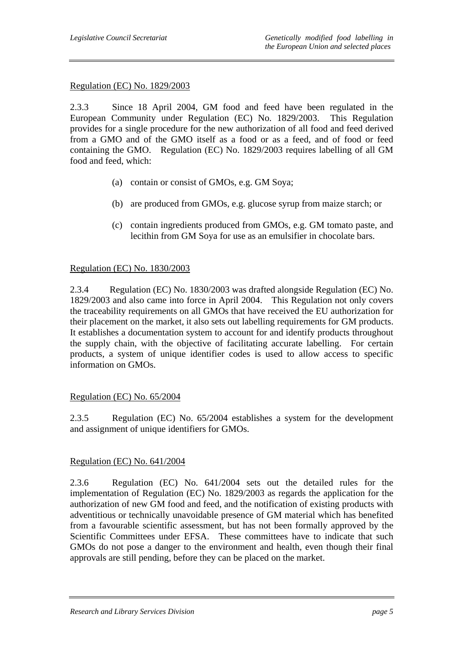#### Regulation (EC) No. 1829/2003

2.3.3 Since 18 April 2004, GM food and feed have been regulated in the European Community under Regulation (EC) No. 1829/2003. This Regulation provides for a single procedure for the new authorization of all food and feed derived from a GMO and of the GMO itself as a food or as a feed, and of food or feed containing the GMO. Regulation (EC) No. 1829/2003 requires labelling of all GM food and feed, which:

- (a) contain or consist of GMOs, e.g. GM Soya;
- (b) are produced from GMOs, e.g. glucose syrup from maize starch; or
- (c) contain ingredients produced from GMOs, e.g. GM tomato paste, and lecithin from GM Soya for use as an emulsifier in chocolate bars.

#### Regulation (EC) No. 1830/2003

2.3.4 Regulation (EC) No. 1830/2003 was drafted alongside Regulation (EC) No. 1829/2003 and also came into force in April 2004. This Regulation not only covers the traceability requirements on all GMOs that have received the EU authorization for their placement on the market, it also sets out labelling requirements for GM products. It establishes a documentation system to account for and identify products throughout the supply chain, with the objective of facilitating accurate labelling. For certain products, a system of unique identifier codes is used to allow access to specific information on GMOs.

#### Regulation (EC) No. 65/2004

2.3.5 Regulation (EC) No. 65/2004 establishes a system for the development and assignment of unique identifiers for GMOs.

#### Regulation (EC) No. 641/2004

2.3.6 Regulation (EC) No. 641/2004 sets out the detailed rules for the implementation of Regulation (EC) No. 1829/2003 as regards the application for the authorization of new GM food and feed, and the notification of existing products with adventitious or technically unavoidable presence of GM material which has benefited from a favourable scientific assessment, but has not been formally approved by the Scientific Committees under EFSA. These committees have to indicate that such GMOs do not pose a danger to the environment and health, even though their final approvals are still pending, before they can be placed on the market.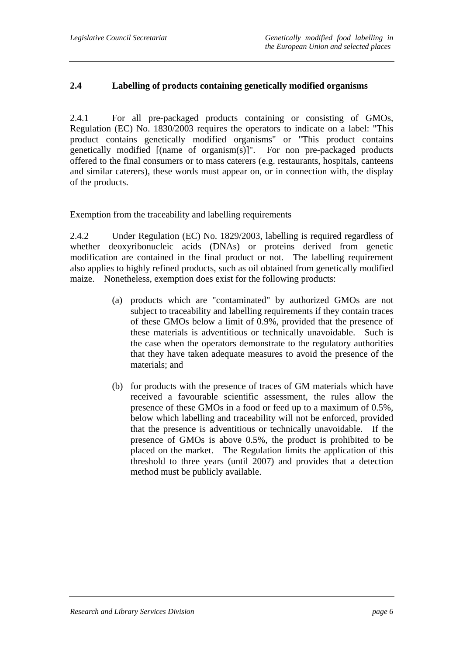#### **2.4 Labelling of products containing genetically modified organisms**

2.4.1 For all pre-packaged products containing or consisting of GMOs, Regulation (EC) No. 1830/2003 requires the operators to indicate on a label: "This product contains genetically modified organisms" or "This product contains genetically modified [(name of organism(s)]". For non pre-packaged products offered to the final consumers or to mass caterers (e.g. restaurants, hospitals, canteens and similar caterers), these words must appear on, or in connection with, the display of the products.

#### Exemption from the traceability and labelling requirements

2.4.2 Under Regulation (EC) No. 1829/2003, labelling is required regardless of whether deoxyribonucleic acids (DNAs) or proteins derived from genetic modification are contained in the final product or not. The labelling requirement also applies to highly refined products, such as oil obtained from genetically modified maize. Nonetheless, exemption does exist for the following products:

- (a) products which are "contaminated" by authorized GMOs are not subject to traceability and labelling requirements if they contain traces of these GMOs below a limit of 0.9%, provided that the presence of these materials is adventitious or technically unavoidable. Such is the case when the operators demonstrate to the regulatory authorities that they have taken adequate measures to avoid the presence of the materials; and
- (b) for products with the presence of traces of GM materials which have received a favourable scientific assessment, the rules allow the presence of these GMOs in a food or feed up to a maximum of 0.5%, below which labelling and traceability will not be enforced, provided that the presence is adventitious or technically unavoidable. If the presence of GMOs is above 0.5%, the product is prohibited to be placed on the market. The Regulation limits the application of this threshold to three years (until 2007) and provides that a detection method must be publicly available.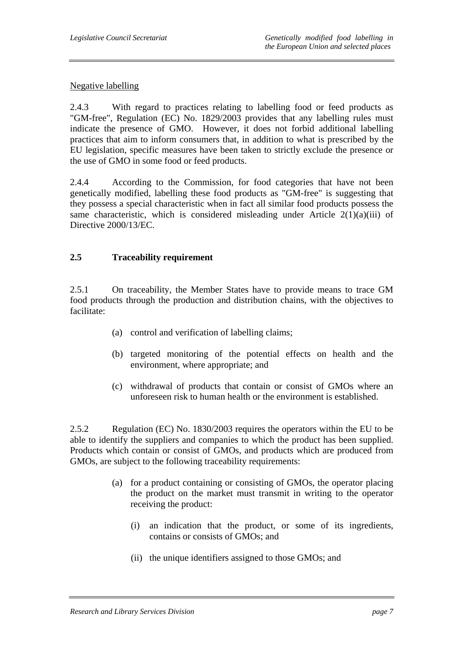#### Negative labelling

2.4.3 With regard to practices relating to labelling food or feed products as "GM-free", Regulation (EC) No. 1829/2003 provides that any labelling rules must indicate the presence of GMO. However, it does not forbid additional labelling practices that aim to inform consumers that, in addition to what is prescribed by the EU legislation, specific measures have been taken to strictly exclude the presence or the use of GMO in some food or feed products.

2.4.4 According to the Commission, for food categories that have not been genetically modified, labelling these food products as "GM-free" is suggesting that they possess a special characteristic when in fact all similar food products possess the same characteristic, which is considered misleading under Article  $2(1)(a)(iii)$  of Directive 2000/13/EC.

### **2.5 Traceability requirement**

2.5.1 On traceability, the Member States have to provide means to trace GM food products through the production and distribution chains, with the objectives to facilitate:

- (a) control and verification of labelling claims;
- (b) targeted monitoring of the potential effects on health and the environment, where appropriate; and
- (c) withdrawal of products that contain or consist of GMOs where an unforeseen risk to human health or the environment is established.

2.5.2 Regulation (EC) No. 1830/2003 requires the operators within the EU to be able to identify the suppliers and companies to which the product has been supplied. Products which contain or consist of GMOs, and products which are produced from GMOs, are subject to the following traceability requirements:

- (a) for a product containing or consisting of GMOs, the operator placing the product on the market must transmit in writing to the operator receiving the product:
	- (i) an indication that the product, or some of its ingredients, contains or consists of GMOs; and
	- (ii) the unique identifiers assigned to those GMOs; and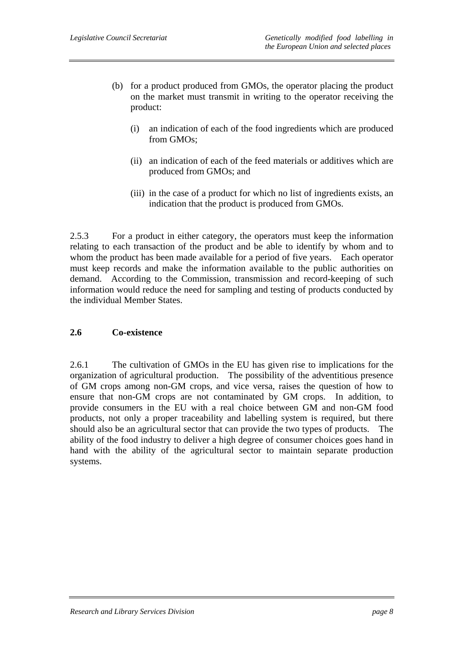- (b) for a product produced from GMOs, the operator placing the product on the market must transmit in writing to the operator receiving the product:
	- (i) an indication of each of the food ingredients which are produced from GMOs;
	- (ii) an indication of each of the feed materials or additives which are produced from GMOs; and
	- (iii) in the case of a product for which no list of ingredients exists, an indication that the product is produced from GMOs.

2.5.3 For a product in either category, the operators must keep the information relating to each transaction of the product and be able to identify by whom and to whom the product has been made available for a period of five years. Each operator must keep records and make the information available to the public authorities on demand. According to the Commission, transmission and record-keeping of such information would reduce the need for sampling and testing of products conducted by the individual Member States.

#### **2.6 Co-existence**

2.6.1 The cultivation of GMOs in the EU has given rise to implications for the organization of agricultural production. The possibility of the adventitious presence of GM crops among non-GM crops, and vice versa, raises the question of how to ensure that non-GM crops are not contaminated by GM crops. In addition, to provide consumers in the EU with a real choice between GM and non-GM food products, not only a proper traceability and labelling system is required, but there should also be an agricultural sector that can provide the two types of products. The ability of the food industry to deliver a high degree of consumer choices goes hand in hand with the ability of the agricultural sector to maintain separate production systems.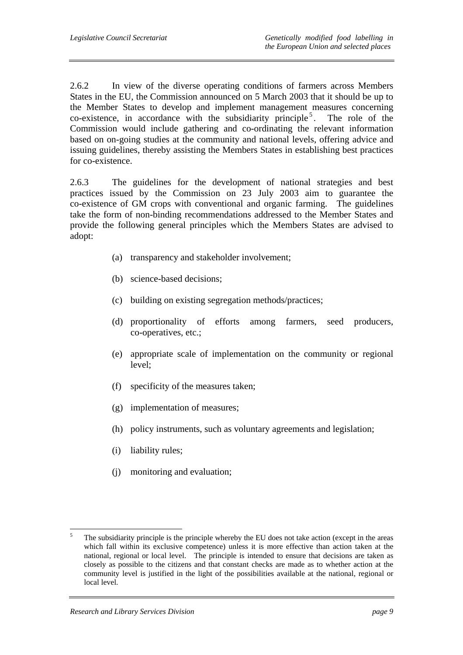2.6.2 In view of the diverse operating conditions of farmers across Members States in the EU, the Commission announced on 5 March 2003 that it should be up to the Member States to develop and implement management measures concerning co-existence, in accordance with the subsidiarity principle<sup>5</sup>. The role of the Commission would include gathering and co-ordinating the relevant information based on on-going studies at the community and national levels, offering advice and issuing guidelines, thereby assisting the Members States in establishing best practices for co-existence.

2.6.3 The guidelines for the development of national strategies and best practices issued by the Commission on 23 July 2003 aim to guarantee the co-existence of GM crops with conventional and organic farming. The guidelines take the form of non-binding recommendations addressed to the Member States and provide the following general principles which the Members States are advised to adopt:

- (a) transparency and stakeholder involvement;
- (b) science-based decisions;
- (c) building on existing segregation methods/practices;
- (d) proportionality of efforts among farmers, seed producers, co-operatives, etc.;
- (e) appropriate scale of implementation on the community or regional level;
- (f) specificity of the measures taken;
- (g) implementation of measures;
- (h) policy instruments, such as voluntary agreements and legislation;
- (i) liability rules;
- (j) monitoring and evaluation;

 5 The subsidiarity principle is the principle whereby the EU does not take action (except in the areas which fall within its exclusive competence) unless it is more effective than action taken at the national, regional or local level. The principle is intended to ensure that decisions are taken as closely as possible to the citizens and that constant checks are made as to whether action at the community level is justified in the light of the possibilities available at the national, regional or local level.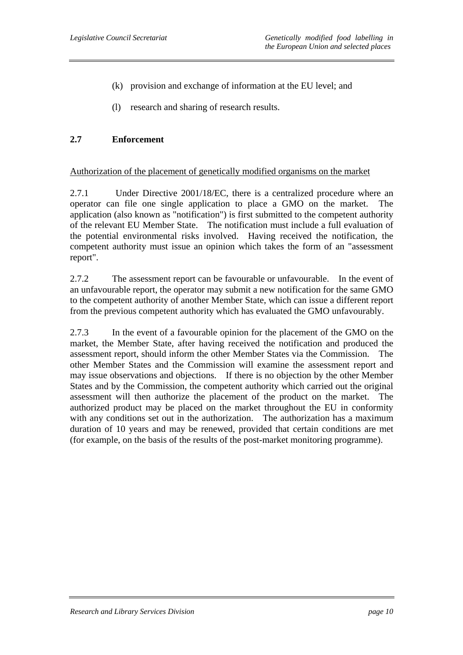- (k) provision and exchange of information at the EU level; and
- (l) research and sharing of research results.

#### **2.7 Enforcement**

#### Authorization of the placement of genetically modified organisms on the market

2.7.1 Under Directive 2001/18/EC, there is a centralized procedure where an operator can file one single application to place a GMO on the market. The application (also known as "notification") is first submitted to the competent authority of the relevant EU Member State. The notification must include a full evaluation of the potential environmental risks involved. Having received the notification, the competent authority must issue an opinion which takes the form of an "assessment report".

2.7.2 The assessment report can be favourable or unfavourable. In the event of an unfavourable report, the operator may submit a new notification for the same GMO to the competent authority of another Member State, which can issue a different report from the previous competent authority which has evaluated the GMO unfavourably.

2.7.3 In the event of a favourable opinion for the placement of the GMO on the market, the Member State, after having received the notification and produced the assessment report, should inform the other Member States via the Commission. The other Member States and the Commission will examine the assessment report and may issue observations and objections. If there is no objection by the other Member States and by the Commission, the competent authority which carried out the original assessment will then authorize the placement of the product on the market. The authorized product may be placed on the market throughout the EU in conformity with any conditions set out in the authorization. The authorization has a maximum duration of 10 years and may be renewed, provided that certain conditions are met (for example, on the basis of the results of the post-market monitoring programme).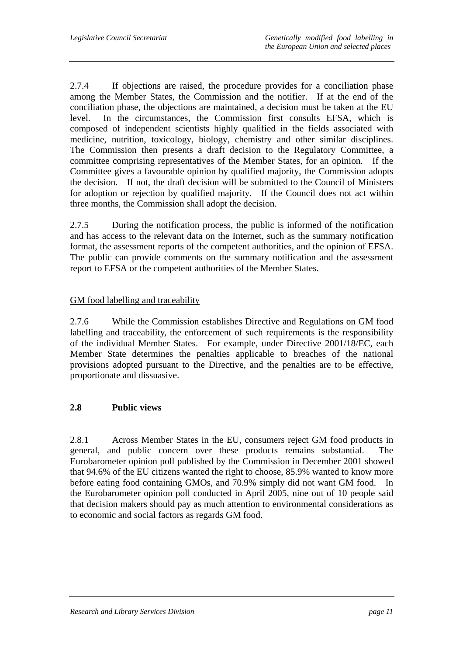2.7.4 If objections are raised, the procedure provides for a conciliation phase among the Member States, the Commission and the notifier. If at the end of the conciliation phase, the objections are maintained, a decision must be taken at the EU level. In the circumstances, the Commission first consults EFSA, which is composed of independent scientists highly qualified in the fields associated with medicine, nutrition, toxicology, biology, chemistry and other similar disciplines. The Commission then presents a draft decision to the Regulatory Committee, a committee comprising representatives of the Member States, for an opinion. If the Committee gives a favourable opinion by qualified majority, the Commission adopts the decision. If not, the draft decision will be submitted to the Council of Ministers for adoption or rejection by qualified majority. If the Council does not act within three months, the Commission shall adopt the decision.

2.7.5 During the notification process, the public is informed of the notification and has access to the relevant data on the Internet, such as the summary notification format, the assessment reports of the competent authorities, and the opinion of EFSA. The public can provide comments on the summary notification and the assessment report to EFSA or the competent authorities of the Member States.

### GM food labelling and traceability

2.7.6 While the Commission establishes Directive and Regulations on GM food labelling and traceability, the enforcement of such requirements is the responsibility of the individual Member States. For example, under Directive 2001/18/EC, each Member State determines the penalties applicable to breaches of the national provisions adopted pursuant to the Directive, and the penalties are to be effective, proportionate and dissuasive.

### **2.8 Public views**

2.8.1 Across Member States in the EU, consumers reject GM food products in general, and public concern over these products remains substantial. The Eurobarometer opinion poll published by the Commission in December 2001 showed that 94.6% of the EU citizens wanted the right to choose, 85.9% wanted to know more before eating food containing GMOs, and 70.9% simply did not want GM food. In the Eurobarometer opinion poll conducted in April 2005, nine out of 10 people said that decision makers should pay as much attention to environmental considerations as to economic and social factors as regards GM food.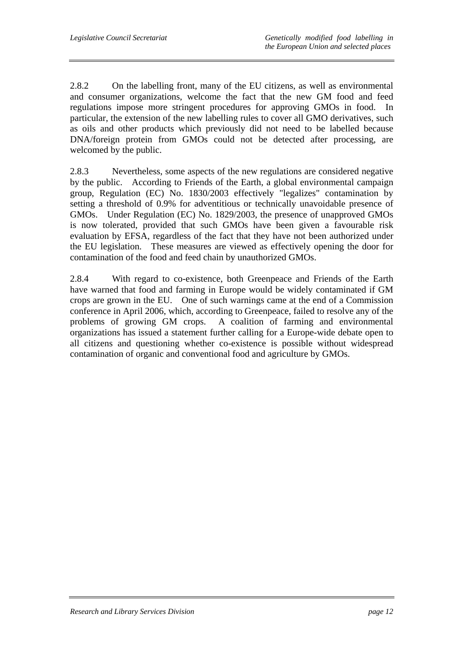2.8.2 On the labelling front, many of the EU citizens, as well as environmental and consumer organizations, welcome the fact that the new GM food and feed regulations impose more stringent procedures for approving GMOs in food. In particular, the extension of the new labelling rules to cover all GMO derivatives, such as oils and other products which previously did not need to be labelled because DNA/foreign protein from GMOs could not be detected after processing, are welcomed by the public.

2.8.3 Nevertheless, some aspects of the new regulations are considered negative by the public. According to Friends of the Earth, a global environmental campaign group, Regulation (EC) No. 1830/2003 effectively "legalizes" contamination by setting a threshold of 0.9% for adventitious or technically unavoidable presence of GMOs. Under Regulation (EC) No. 1829/2003, the presence of unapproved GMOs is now tolerated, provided that such GMOs have been given a favourable risk evaluation by EFSA, regardless of the fact that they have not been authorized under the EU legislation. These measures are viewed as effectively opening the door for contamination of the food and feed chain by unauthorized GMOs.

2.8.4 With regard to co-existence, both Greenpeace and Friends of the Earth have warned that food and farming in Europe would be widely contaminated if GM crops are grown in the EU. One of such warnings came at the end of a Commission conference in April 2006, which, according to Greenpeace, failed to resolve any of the problems of growing GM crops. A coalition of farming and environmental organizations has issued a statement further calling for a Europe-wide debate open to all citizens and questioning whether co-existence is possible without widespread contamination of organic and conventional food and agriculture by GMOs.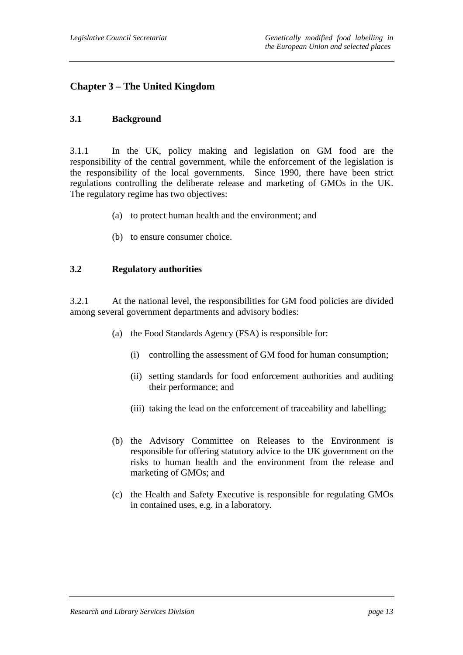## **Chapter 3 – The United Kingdom**

#### **3.1 Background**

3.1.1 In the UK, policy making and legislation on GM food are the responsibility of the central government, while the enforcement of the legislation is the responsibility of the local governments. Since 1990, there have been strict regulations controlling the deliberate release and marketing of GMOs in the UK. The regulatory regime has two objectives:

- (a) to protect human health and the environment; and
- (b) to ensure consumer choice.

#### **3.2 Regulatory authorities**

3.2.1 At the national level, the responsibilities for GM food policies are divided among several government departments and advisory bodies:

- (a) the Food Standards Agency (FSA) is responsible for:
	- (i) controlling the assessment of GM food for human consumption;
	- (ii) setting standards for food enforcement authorities and auditing their performance; and
	- (iii) taking the lead on the enforcement of traceability and labelling;
- (b) the Advisory Committee on Releases to the Environment is responsible for offering statutory advice to the UK government on the risks to human health and the environment from the release and marketing of GMOs; and
- (c) the Health and Safety Executive is responsible for regulating GMOs in contained uses, e.g. in a laboratory.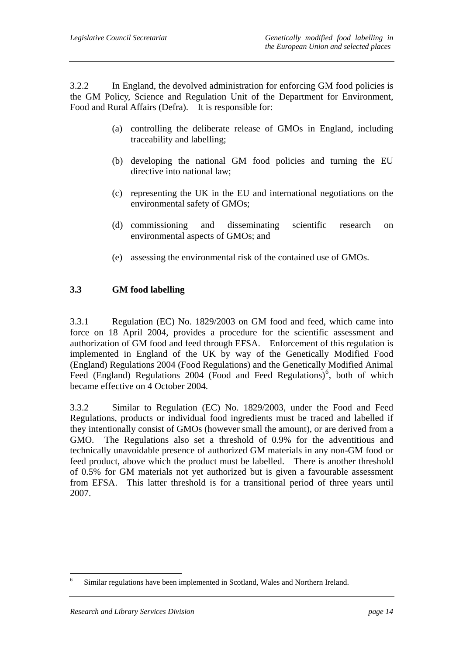3.2.2 In England, the devolved administration for enforcing GM food policies is the GM Policy, Science and Regulation Unit of the Department for Environment, Food and Rural Affairs (Defra). It is responsible for:

- (a) controlling the deliberate release of GMOs in England, including traceability and labelling;
- (b) developing the national GM food policies and turning the EU directive into national law;
- (c) representing the UK in the EU and international negotiations on the environmental safety of GMOs;
- (d) commissioning and disseminating scientific research on environmental aspects of GMOs; and
- (e) assessing the environmental risk of the contained use of GMOs.

### **3.3 GM food labelling**

3.3.1 Regulation (EC) No. 1829/2003 on GM food and feed, which came into force on 18 April 2004, provides a procedure for the scientific assessment and authorization of GM food and feed through EFSA. Enforcement of this regulation is implemented in England of the UK by way of the Genetically Modified Food (England) Regulations 2004 (Food Regulations) and the Genetically Modified Animal Feed (England) Regulations  $2004$  (Food and Feed Regulations)<sup>6</sup>, both of which became effective on 4 October 2004.

3.3.2 Similar to Regulation (EC) No. 1829/2003, under the Food and Feed Regulations, products or individual food ingredients must be traced and labelled if they intentionally consist of GMOs (however small the amount), or are derived from a GMO. The Regulations also set a threshold of 0.9% for the adventitious and technically unavoidable presence of authorized GM materials in any non-GM food or feed product, above which the product must be labelled. There is another threshold of 0.5% for GM materials not yet authorized but is given a favourable assessment from EFSA. This latter threshold is for a transitional period of three years until 2007.

 $\overline{a}$ 

<sup>6</sup> Similar regulations have been implemented in Scotland, Wales and Northern Ireland.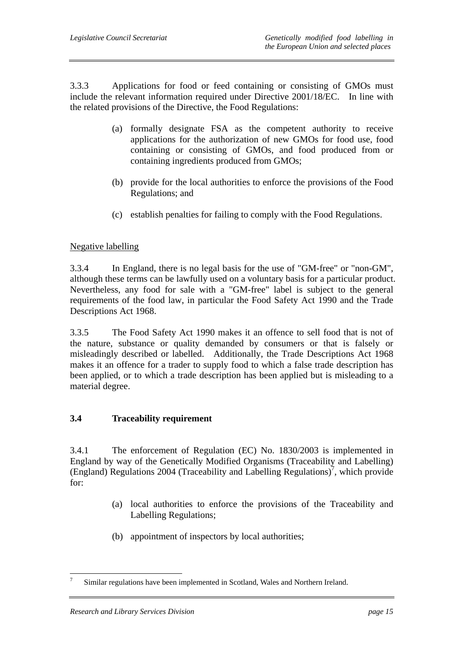3.3.3 Applications for food or feed containing or consisting of GMOs must include the relevant information required under Directive 2001/18/EC. In line with the related provisions of the Directive, the Food Regulations:

- (a) formally designate FSA as the competent authority to receive applications for the authorization of new GMOs for food use, food containing or consisting of GMOs, and food produced from or containing ingredients produced from GMOs;
- (b) provide for the local authorities to enforce the provisions of the Food Regulations; and
- (c) establish penalties for failing to comply with the Food Regulations.

#### Negative labelling

3.3.4 In England, there is no legal basis for the use of "GM-free" or "non-GM", although these terms can be lawfully used on a voluntary basis for a particular product. Nevertheless, any food for sale with a "GM-free" label is subject to the general requirements of the food law, in particular the Food Safety Act 1990 and the Trade Descriptions Act 1968.

3.3.5 The Food Safety Act 1990 makes it an offence to sell food that is not of the nature, substance or quality demanded by consumers or that is falsely or misleadingly described or labelled. Additionally, the Trade Descriptions Act 1968 makes it an offence for a trader to supply food to which a false trade description has been applied, or to which a trade description has been applied but is misleading to a material degree.

### **3.4 Traceability requirement**

3.4.1 The enforcement of Regulation (EC) No. 1830/2003 is implemented in England by way of the Genetically Modified Organisms (Traceability and Labelling)  $(English)$  Regulations 2004 (Traceability and Labelling Regulations)<sup>7</sup>, which provide for:

- (a) local authorities to enforce the provisions of the Traceability and Labelling Regulations;
- (b) appointment of inspectors by local authorities;

 $\overline{a}$ 

<sup>7</sup> Similar regulations have been implemented in Scotland, Wales and Northern Ireland.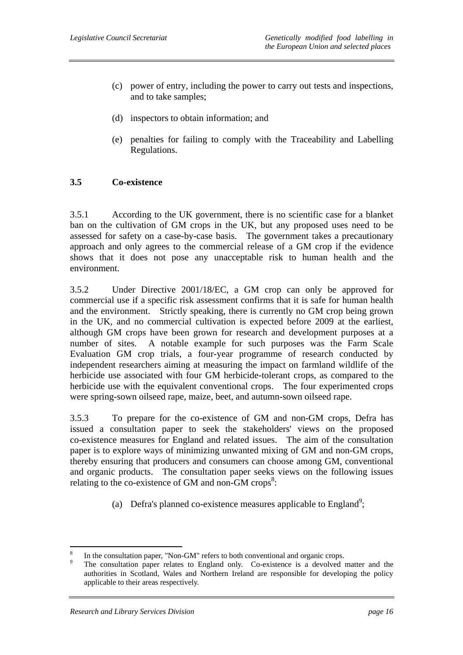- (c) power of entry, including the power to carry out tests and inspections, and to take samples;
- (d) inspectors to obtain information; and
- (e) penalties for failing to comply with the Traceability and Labelling Regulations.

#### **3.5 Co-existence**

3.5.1 According to the UK government, there is no scientific case for a blanket ban on the cultivation of GM crops in the UK, but any proposed uses need to be assessed for safety on a case-by-case basis. The government takes a precautionary approach and only agrees to the commercial release of a GM crop if the evidence shows that it does not pose any unacceptable risk to human health and the environment.

3.5.2 Under Directive 2001/18/EC, a GM crop can only be approved for commercial use if a specific risk assessment confirms that it is safe for human health and the environment. Strictly speaking, there is currently no GM crop being grown in the UK, and no commercial cultivation is expected before 2009 at the earliest, although GM crops have been grown for research and development purposes at a number of sites. A notable example for such purposes was the Farm Scale Evaluation GM crop trials, a four-year programme of research conducted by independent researchers aiming at measuring the impact on farmland wildlife of the herbicide use associated with four GM herbicide-tolerant crops, as compared to the herbicide use with the equivalent conventional crops. The four experimented crops were spring-sown oilseed rape, maize, beet, and autumn-sown oilseed rape.

3.5.3 To prepare for the co-existence of GM and non-GM crops, Defra has issued a consultation paper to seek the stakeholders' views on the proposed co-existence measures for England and related issues. The aim of the consultation paper is to explore ways of minimizing unwanted mixing of GM and non-GM crops, thereby ensuring that producers and consumers can choose among GM, conventional and organic products. The consultation paper seeks views on the following issues relating to the co-existence of GM and non-GM crops<sup>8</sup>:

(a) Defra's planned co-existence measures applicable to England<sup>9</sup>;

 8 In the consultation paper, "Non-GM" refers to both conventional and organic crops.

<sup>9</sup> The consultation paper relates to England only. Co-existence is a devolved matter and the authorities in Scotland, Wales and Northern Ireland are responsible for developing the policy applicable to their areas respectively.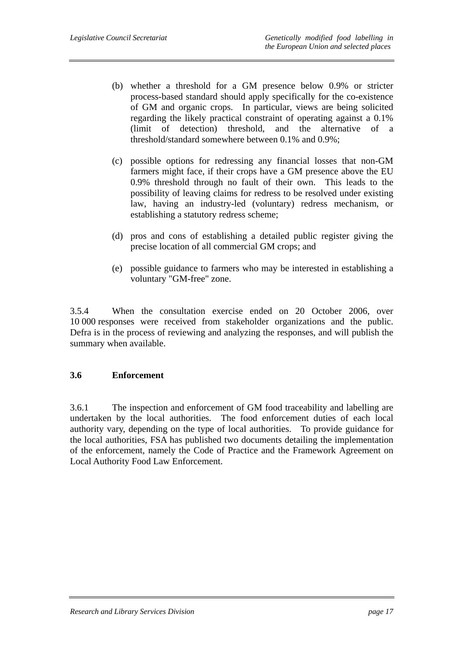- (b) whether a threshold for a GM presence below 0.9% or stricter process-based standard should apply specifically for the co-existence of GM and organic crops. In particular, views are being solicited regarding the likely practical constraint of operating against a 0.1% (limit of detection) threshold, and the alternative of a threshold/standard somewhere between 0.1% and 0.9%;
- (c) possible options for redressing any financial losses that non-GM farmers might face, if their crops have a GM presence above the EU 0.9% threshold through no fault of their own. This leads to the possibility of leaving claims for redress to be resolved under existing law, having an industry-led (voluntary) redress mechanism, or establishing a statutory redress scheme;
- (d) pros and cons of establishing a detailed public register giving the precise location of all commercial GM crops; and
- (e) possible guidance to farmers who may be interested in establishing a voluntary "GM-free" zone.

3.5.4 When the consultation exercise ended on 20 October 2006, over 10 000 responses were received from stakeholder organizations and the public. Defra is in the process of reviewing and analyzing the responses, and will publish the summary when available.

#### **3.6 Enforcement**

3.6.1 The inspection and enforcement of GM food traceability and labelling are undertaken by the local authorities. The food enforcement duties of each local authority vary, depending on the type of local authorities. To provide guidance for the local authorities, FSA has published two documents detailing the implementation of the enforcement, namely the Code of Practice and the Framework Agreement on Local Authority Food Law Enforcement.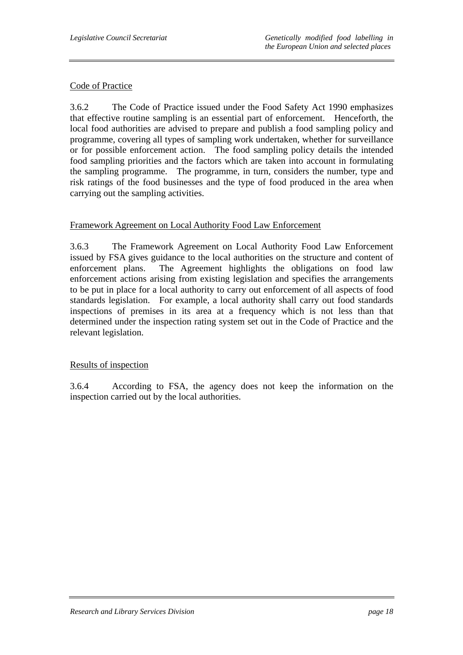#### Code of Practice

3.6.2 The Code of Practice issued under the Food Safety Act 1990 emphasizes that effective routine sampling is an essential part of enforcement. Henceforth, the local food authorities are advised to prepare and publish a food sampling policy and programme, covering all types of sampling work undertaken, whether for surveillance or for possible enforcement action. The food sampling policy details the intended food sampling priorities and the factors which are taken into account in formulating the sampling programme. The programme, in turn, considers the number, type and risk ratings of the food businesses and the type of food produced in the area when carrying out the sampling activities.

#### Framework Agreement on Local Authority Food Law Enforcement

3.6.3 The Framework Agreement on Local Authority Food Law Enforcement issued by FSA gives guidance to the local authorities on the structure and content of enforcement plans. The Agreement highlights the obligations on food law enforcement actions arising from existing legislation and specifies the arrangements to be put in place for a local authority to carry out enforcement of all aspects of food standards legislation. For example, a local authority shall carry out food standards inspections of premises in its area at a frequency which is not less than that determined under the inspection rating system set out in the Code of Practice and the relevant legislation.

#### Results of inspection

3.6.4 According to FSA, the agency does not keep the information on the inspection carried out by the local authorities.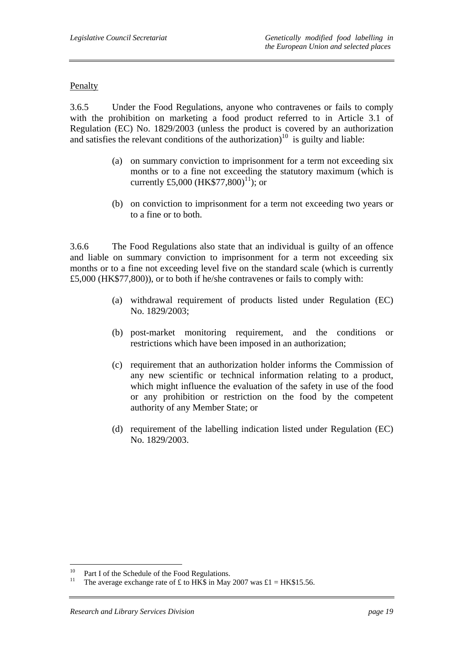#### Penalty

3.6.5 Under the Food Regulations, anyone who contravenes or fails to comply with the prohibition on marketing a food product referred to in Article 3.1 of Regulation (EC) No. 1829/2003 (unless the product is covered by an authorization and satisfies the relevant conditions of the authorization)<sup>10</sup> is guilty and liable:

- (a) on summary conviction to imprisonment for a term not exceeding six months or to a fine not exceeding the statutory maximum (which is currently £5,000 (HK\$77,800)<sup>11</sup>); or
- (b) on conviction to imprisonment for a term not exceeding two years or to a fine or to both.

3.6.6 The Food Regulations also state that an individual is guilty of an offence and liable on summary conviction to imprisonment for a term not exceeding six months or to a fine not exceeding level five on the standard scale (which is currently £5,000 (HK\$77,800)), or to both if he/she contravenes or fails to comply with:

- (a) withdrawal requirement of products listed under Regulation (EC) No. 1829/2003;
- (b) post-market monitoring requirement, and the conditions or restrictions which have been imposed in an authorization;
- (c) requirement that an authorization holder informs the Commission of any new scientific or technical information relating to a product, which might influence the evaluation of the safety in use of the food or any prohibition or restriction on the food by the competent authority of any Member State; or
- (d) requirement of the labelling indication listed under Regulation (EC) No. 1829/2003.

 $\overline{a}$ 

<sup>&</sup>lt;sup>10</sup> Part I of the Schedule of the Food Regulations.

The average exchange rate of £ to HK\$ in May 2007 was £1 = HK\$15.56.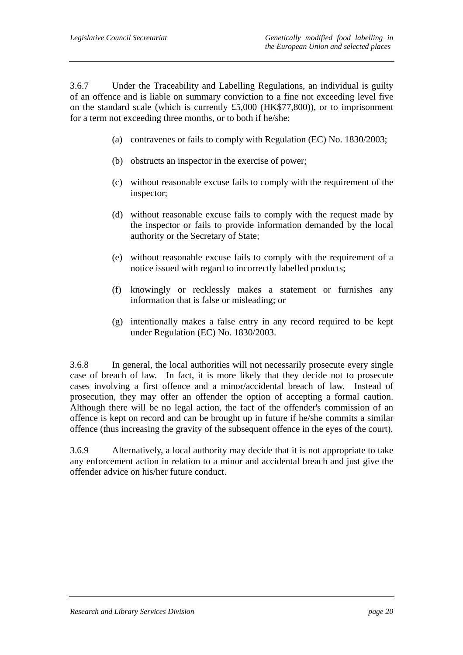3.6.7 Under the Traceability and Labelling Regulations, an individual is guilty of an offence and is liable on summary conviction to a fine not exceeding level five on the standard scale (which is currently £5,000 (HK\$77,800)), or to imprisonment for a term not exceeding three months, or to both if he/she:

- (a) contravenes or fails to comply with Regulation (EC) No. 1830/2003;
- (b) obstructs an inspector in the exercise of power;
- (c) without reasonable excuse fails to comply with the requirement of the inspector;
- (d) without reasonable excuse fails to comply with the request made by the inspector or fails to provide information demanded by the local authority or the Secretary of State;
- (e) without reasonable excuse fails to comply with the requirement of a notice issued with regard to incorrectly labelled products;
- (f) knowingly or recklessly makes a statement or furnishes any information that is false or misleading; or
- (g) intentionally makes a false entry in any record required to be kept under Regulation (EC) No. 1830/2003.

3.6.8 In general, the local authorities will not necessarily prosecute every single case of breach of law. In fact, it is more likely that they decide not to prosecute cases involving a first offence and a minor/accidental breach of law. Instead of prosecution, they may offer an offender the option of accepting a formal caution. Although there will be no legal action, the fact of the offender's commission of an offence is kept on record and can be brought up in future if he/she commits a similar offence (thus increasing the gravity of the subsequent offence in the eyes of the court).

3.6.9 Alternatively, a local authority may decide that it is not appropriate to take any enforcement action in relation to a minor and accidental breach and just give the offender advice on his/her future conduct.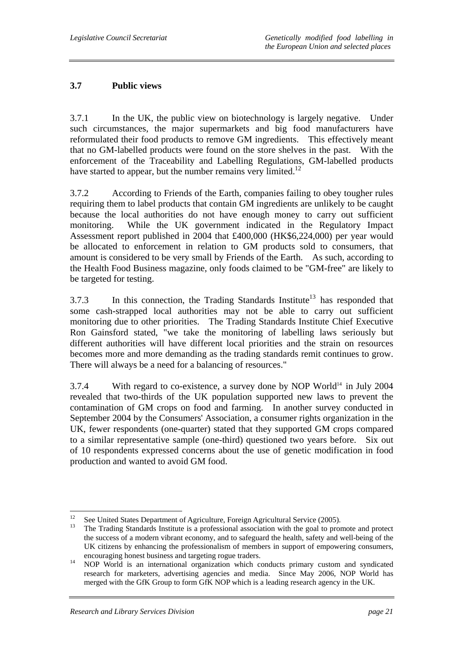## **3.7 Public views**

3.7.1 In the UK, the public view on biotechnology is largely negative. Under such circumstances, the major supermarkets and big food manufacturers have reformulated their food products to remove GM ingredients. This effectively meant that no GM-labelled products were found on the store shelves in the past. With the enforcement of the Traceability and Labelling Regulations, GM-labelled products have started to appear, but the number remains very limited.<sup>12</sup>

3.7.2 According to Friends of the Earth, companies failing to obey tougher rules requiring them to label products that contain GM ingredients are unlikely to be caught because the local authorities do not have enough money to carry out sufficient monitoring. While the UK government indicated in the Regulatory Impact Assessment report published in 2004 that £400,000 (HK\$6,224,000) per year would be allocated to enforcement in relation to GM products sold to consumers, that amount is considered to be very small by Friends of the Earth. As such, according to the Health Food Business magazine, only foods claimed to be "GM-free" are likely to be targeted for testing.

3.7.3 In this connection, the Trading Standards Institute<sup>13</sup> has responded that some cash-strapped local authorities may not be able to carry out sufficient monitoring due to other priorities. The Trading Standards Institute Chief Executive Ron Gainsford stated, "we take the monitoring of labelling laws seriously but different authorities will have different local priorities and the strain on resources becomes more and more demanding as the trading standards remit continues to grow. There will always be a need for a balancing of resources."

 $3.7.4$  With regard to co-existence, a survey done by NOP World<sup>14</sup> in July 2004 revealed that two-thirds of the UK population supported new laws to prevent the contamination of GM crops on food and farming. In another survey conducted in September 2004 by the Consumers' Association, a consumer rights organization in the UK, fewer respondents (one-quarter) stated that they supported GM crops compared to a similar representative sample (one-third) questioned two years before. Six out of 10 respondents expressed concerns about the use of genetic modification in food production and wanted to avoid GM food.

 $12$ 12 See United States Department of Agriculture, Foreign Agricultural Service (2005).

<sup>13</sup> The Trading Standards Institute is a professional association with the goal to promote and protect the success of a modern vibrant economy, and to safeguard the health, safety and well-being of the UK citizens by enhancing the professionalism of members in support of empowering consumers, encouraging honest business and targeting rogue traders. 14 NOP World is an international organization which conducts primary custom and syndicated

research for marketers, advertising agencies and media. Since May 2006, NOP World has merged with the GfK Group to form GfK NOP which is a leading research agency in the UK.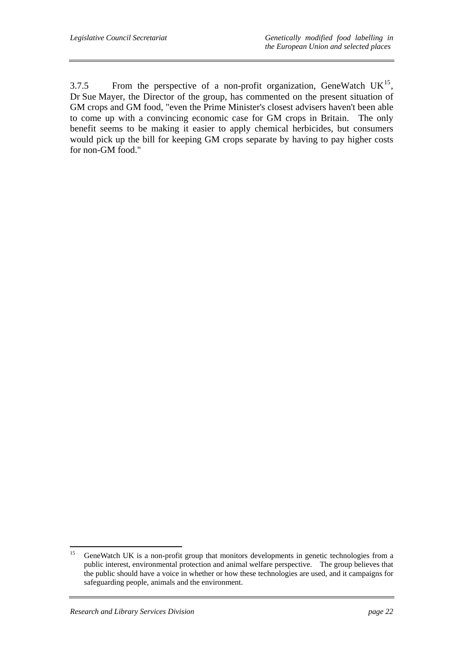3.7.5 From the perspective of a non-profit organization, GeneWatch  $UK^{15}$ , Dr Sue Mayer, the Director of the group, has commented on the present situation of GM crops and GM food, "even the Prime Minister's closest advisers haven't been able to come up with a convincing economic case for GM crops in Britain. The only benefit seems to be making it easier to apply chemical herbicides, but consumers would pick up the bill for keeping GM crops separate by having to pay higher costs for non-GM food."

 $15\,$ 15 GeneWatch UK is a non-profit group that monitors developments in genetic technologies from a public interest, environmental protection and animal welfare perspective. The group believes that the public should have a voice in whether or how these technologies are used, and it campaigns for safeguarding people, animals and the environment.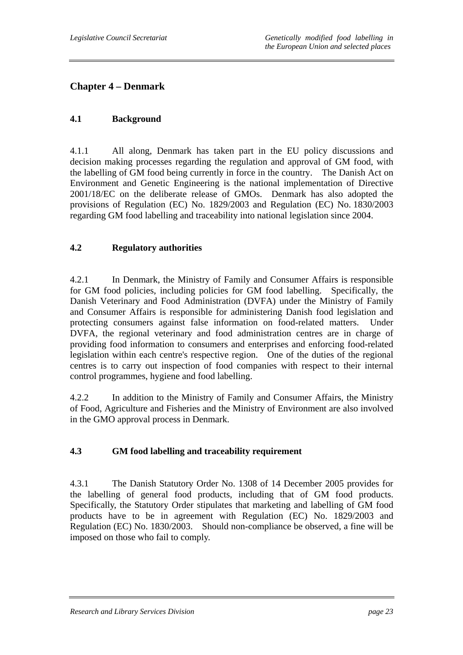## **Chapter 4 – Denmark**

#### **4.1 Background**

4.1.1 All along, Denmark has taken part in the EU policy discussions and decision making processes regarding the regulation and approval of GM food, with the labelling of GM food being currently in force in the country. The Danish Act on Environment and Genetic Engineering is the national implementation of Directive 2001/18/EC on the deliberate release of GMOs. Denmark has also adopted the provisions of Regulation (EC) No. 1829/2003 and Regulation (EC) No. 1830/2003 regarding GM food labelling and traceability into national legislation since 2004.

#### **4.2 Regulatory authorities**

4.2.1 In Denmark, the Ministry of Family and Consumer Affairs is responsible for GM food policies, including policies for GM food labelling. Specifically, the Danish Veterinary and Food Administration (DVFA) under the Ministry of Family and Consumer Affairs is responsible for administering Danish food legislation and protecting consumers against false information on food-related matters. Under DVFA, the regional veterinary and food administration centres are in charge of providing food information to consumers and enterprises and enforcing food-related legislation within each centre's respective region. One of the duties of the regional centres is to carry out inspection of food companies with respect to their internal control programmes, hygiene and food labelling.

4.2.2 In addition to the Ministry of Family and Consumer Affairs, the Ministry of Food, Agriculture and Fisheries and the Ministry of Environment are also involved in the GMO approval process in Denmark.

### **4.3 GM food labelling and traceability requirement**

4.3.1 The Danish Statutory Order No. 1308 of 14 December 2005 provides for the labelling of general food products, including that of GM food products. Specifically, the Statutory Order stipulates that marketing and labelling of GM food products have to be in agreement with Regulation (EC) No. 1829/2003 and Regulation (EC) No. 1830/2003. Should non-compliance be observed, a fine will be imposed on those who fail to comply.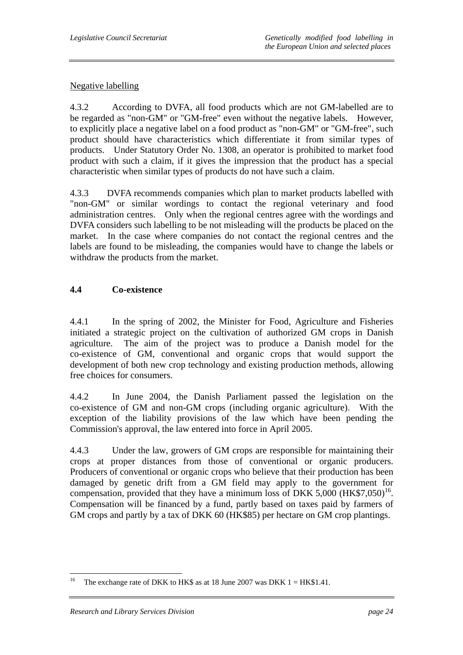#### Negative labelling

4.3.2 According to DVFA, all food products which are not GM-labelled are to be regarded as "non-GM" or "GM-free" even without the negative labels. However, to explicitly place a negative label on a food product as "non-GM" or "GM-free", such product should have characteristics which differentiate it from similar types of products. Under Statutory Order No. 1308, an operator is prohibited to market food product with such a claim, if it gives the impression that the product has a special characteristic when similar types of products do not have such a claim.

4.3.3 DVFA recommends companies which plan to market products labelled with "non-GM" or similar wordings to contact the regional veterinary and food administration centres. Only when the regional centres agree with the wordings and DVFA considers such labelling to be not misleading will the products be placed on the market. In the case where companies do not contact the regional centres and the labels are found to be misleading, the companies would have to change the labels or withdraw the products from the market.

#### **4.4 Co-existence**

4.4.1 In the spring of 2002, the Minister for Food, Agriculture and Fisheries initiated a strategic project on the cultivation of authorized GM crops in Danish agriculture. The aim of the project was to produce a Danish model for the co-existence of GM, conventional and organic crops that would support the development of both new crop technology and existing production methods, allowing free choices for consumers.

4.4.2 In June 2004, the Danish Parliament passed the legislation on the co-existence of GM and non-GM crops (including organic agriculture). With the exception of the liability provisions of the law which have been pending the Commission's approval, the law entered into force in April 2005.

4.4.3 Under the law, growers of GM crops are responsible for maintaining their crops at proper distances from those of conventional or organic producers. Producers of conventional or organic crops who believe that their production has been damaged by genetic drift from a GM field may apply to the government for compensation, provided that they have a minimum loss of DKK 5,000 ( $HK$7,050$ <sup>16</sup>. Compensation will be financed by a fund, partly based on taxes paid by farmers of GM crops and partly by a tax of DKK 60 (HK\$85) per hectare on GM crop plantings.

<sup>16</sup> The exchange rate of DKK to HK\$ as at 18 June 2007 was DKK  $1 = HK$1.41$ .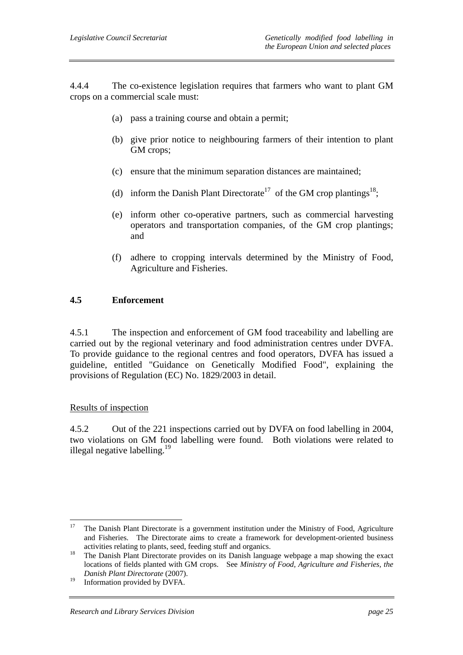4.4.4 The co-existence legislation requires that farmers who want to plant GM crops on a commercial scale must:

- (a) pass a training course and obtain a permit;
- (b) give prior notice to neighbouring farmers of their intention to plant GM crops;
- (c) ensure that the minimum separation distances are maintained;
- (d) inform the Danish Plant Directorate<sup>17</sup> of the GM crop plantings<sup>18</sup>;
- (e) inform other co-operative partners, such as commercial harvesting operators and transportation companies, of the GM crop plantings; and
- (f) adhere to cropping intervals determined by the Ministry of Food, Agriculture and Fisheries.

#### **4.5 Enforcement**

4.5.1 The inspection and enforcement of GM food traceability and labelling are carried out by the regional veterinary and food administration centres under DVFA. To provide guidance to the regional centres and food operators, DVFA has issued a guideline, entitled "Guidance on Genetically Modified Food", explaining the provisions of Regulation (EC) No. 1829/2003 in detail.

#### Results of inspection

4.5.2 Out of the 221 inspections carried out by DVFA on food labelling in 2004, two violations on GM food labelling were found. Both violations were related to illegal negative labelling. $19$ 

 $17$ 17 The Danish Plant Directorate is a government institution under the Ministry of Food, Agriculture and Fisheries. The Directorate aims to create a framework for development-oriented business

activities relating to plants, seed, feeding stuff and organics.<br><sup>18</sup> The Danish Plant Directorate provides on its Danish language webpage a map showing the exact locations of fields planted with GM crops. See *Ministry of Food, Agriculture and Fisheries, the Danish Plant Directorate* (2007).

<sup>&</sup>lt;sup>19</sup> Information provided by DVFA.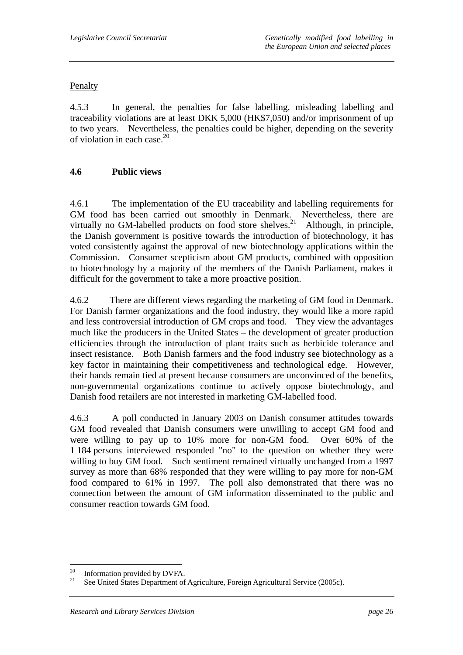#### Penalty

4.5.3 In general, the penalties for false labelling, misleading labelling and traceability violations are at least DKK 5,000 (HK\$7,050) and/or imprisonment of up to two years. Nevertheless, the penalties could be higher, depending on the severity of violation in each case. $^{20}$ 

### **4.6 Public views**

4.6.1 The implementation of the EU traceability and labelling requirements for GM food has been carried out smoothly in Denmark. Nevertheless, there are virtually no GM-labelled products on food store shelves.<sup>21</sup> Although, in principle, the Danish government is positive towards the introduction of biotechnology, it has voted consistently against the approval of new biotechnology applications within the Commission. Consumer scepticism about GM products, combined with opposition to biotechnology by a majority of the members of the Danish Parliament, makes it difficult for the government to take a more proactive position.

4.6.2 There are different views regarding the marketing of GM food in Denmark. For Danish farmer organizations and the food industry, they would like a more rapid and less controversial introduction of GM crops and food. They view the advantages much like the producers in the United States – the development of greater production efficiencies through the introduction of plant traits such as herbicide tolerance and insect resistance. Both Danish farmers and the food industry see biotechnology as a key factor in maintaining their competitiveness and technological edge. However, their hands remain tied at present because consumers are unconvinced of the benefits, non-governmental organizations continue to actively oppose biotechnology, and Danish food retailers are not interested in marketing GM-labelled food.

4.6.3 A poll conducted in January 2003 on Danish consumer attitudes towards GM food revealed that Danish consumers were unwilling to accept GM food and were willing to pay up to 10% more for non-GM food. Over 60% of the 1 184 persons interviewed responded "no" to the question on whether they were willing to buy GM food. Such sentiment remained virtually unchanged from a 1997 survey as more than 68% responded that they were willing to pay more for non-GM food compared to 61% in 1997. The poll also demonstrated that there was no connection between the amount of GM information disseminated to the public and consumer reaction towards GM food.

 $\overline{a}$ 

<sup>&</sup>lt;sup>20</sup> Information provided by DVFA.<br><sup>21</sup> See United States Department of

See United States Department of Agriculture, Foreign Agricultural Service (2005c).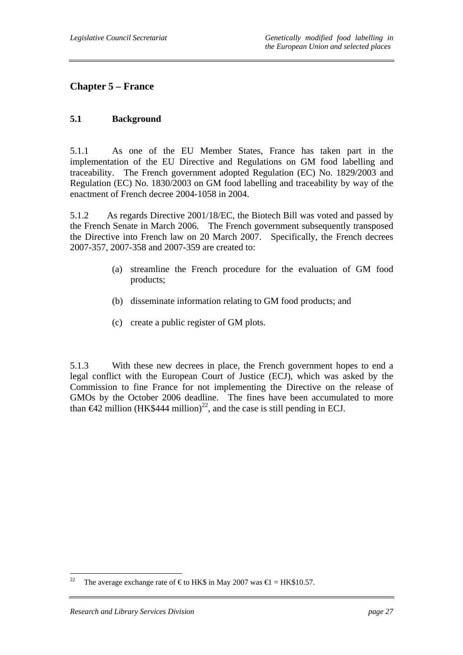## **Chapter 5 – France**

#### **5.1 Background**

5.1.1 As one of the EU Member States, France has taken part in the implementation of the EU Directive and Regulations on GM food labelling and traceability. The French government adopted Regulation (EC) No. 1829/2003 and Regulation (EC) No. 1830/2003 on GM food labelling and traceability by way of the enactment of French decree 2004-1058 in 2004.

5.1.2 As regards Directive 2001/18/EC, the Biotech Bill was voted and passed by the French Senate in March 2006. The French government subsequently transposed the Directive into French law on 20 March 2007. Specifically, the French decrees 2007-357, 2007-358 and 2007-359 are created to:

- (a) streamline the French procedure for the evaluation of GM food products;
- (b) disseminate information relating to GM food products; and
- (c) create a public register of GM plots.

5.1.3 With these new decrees in place, the French government hopes to end a legal conflict with the European Court of Justice (ECJ), which was asked by the Commission to fine France for not implementing the Directive on the release of GMOs by the October 2006 deadline. The fines have been accumulated to more than  $\bigoplus$  million (HK\$444 million)<sup>22</sup>, and the case is still pending in ECJ.

<sup>22</sup> The average exchange rate of  $\epsilon$ to HK\$ in May 2007 was  $\epsilon$ 1 = HK\$10.57.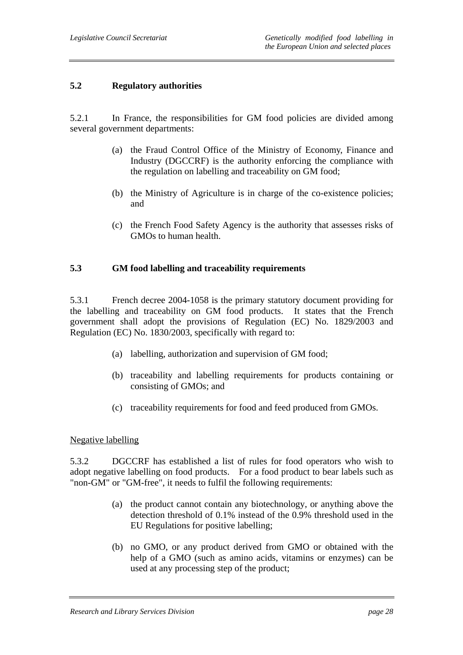#### **5.2 Regulatory authorities**

5.2.1 In France, the responsibilities for GM food policies are divided among several government departments:

- (a) the Fraud Control Office of the Ministry of Economy, Finance and Industry (DGCCRF) is the authority enforcing the compliance with the regulation on labelling and traceability on GM food;
- (b) the Ministry of Agriculture is in charge of the co-existence policies; and
- (c) the French Food Safety Agency is the authority that assesses risks of GMOs to human health.

#### **5.3 GM food labelling and traceability requirements**

5.3.1 French decree 2004-1058 is the primary statutory document providing for the labelling and traceability on GM food products. It states that the French government shall adopt the provisions of Regulation (EC) No. 1829/2003 and Regulation (EC) No. 1830/2003, specifically with regard to:

- (a) labelling, authorization and supervision of GM food;
- (b) traceability and labelling requirements for products containing or consisting of GMOs; and
- (c) traceability requirements for food and feed produced from GMOs.

#### Negative labelling

5.3.2 DGCCRF has established a list of rules for food operators who wish to adopt negative labelling on food products. For a food product to bear labels such as "non-GM" or "GM-free", it needs to fulfil the following requirements:

- (a) the product cannot contain any biotechnology, or anything above the detection threshold of 0.1% instead of the 0.9% threshold used in the EU Regulations for positive labelling;
- (b) no GMO, or any product derived from GMO or obtained with the help of a GMO (such as amino acids, vitamins or enzymes) can be used at any processing step of the product;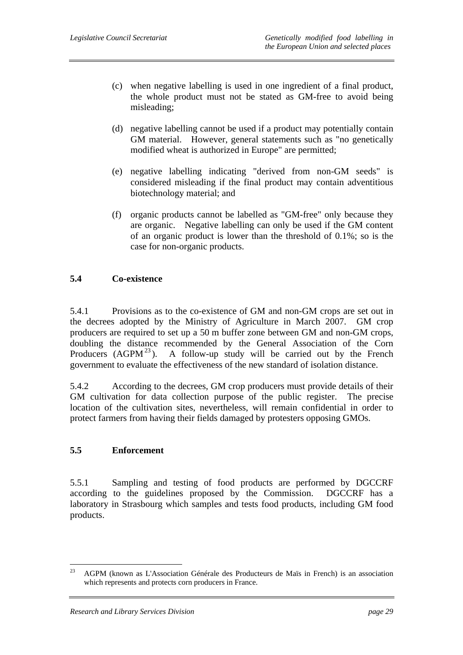- (c) when negative labelling is used in one ingredient of a final product, the whole product must not be stated as GM-free to avoid being misleading;
- (d) negative labelling cannot be used if a product may potentially contain GM material. However, general statements such as "no genetically modified wheat is authorized in Europe" are permitted;
- (e) negative labelling indicating "derived from non-GM seeds" is considered misleading if the final product may contain adventitious biotechnology material; and
- (f) organic products cannot be labelled as "GM-free" only because they are organic. Negative labelling can only be used if the GM content of an organic product is lower than the threshold of 0.1%; so is the case for non-organic products.

### **5.4 Co-existence**

5.4.1 Provisions as to the co-existence of GM and non-GM crops are set out in the decrees adopted by the Ministry of Agriculture in March 2007. GM crop producers are required to set up a 50 m buffer zone between GM and non-GM crops, doubling the distance recommended by the General Association of the Corn Producers  $(AGPM<sup>23</sup>)$ . A follow-up study will be carried out by the French government to evaluate the effectiveness of the new standard of isolation distance.

5.4.2 According to the decrees, GM crop producers must provide details of their GM cultivation for data collection purpose of the public register. The precise location of the cultivation sites, nevertheless, will remain confidential in order to protect farmers from having their fields damaged by protesters opposing GMOs.

### **5.5 Enforcement**

5.5.1 Sampling and testing of food products are performed by DGCCRF according to the guidelines proposed by the Commission. DGCCRF has a laboratory in Strasbourg which samples and tests food products, including GM food products.

<sup>23</sup> 23 AGPM (known as L'Association Générale des Producteurs de Maïs in French) is an association which represents and protects corn producers in France.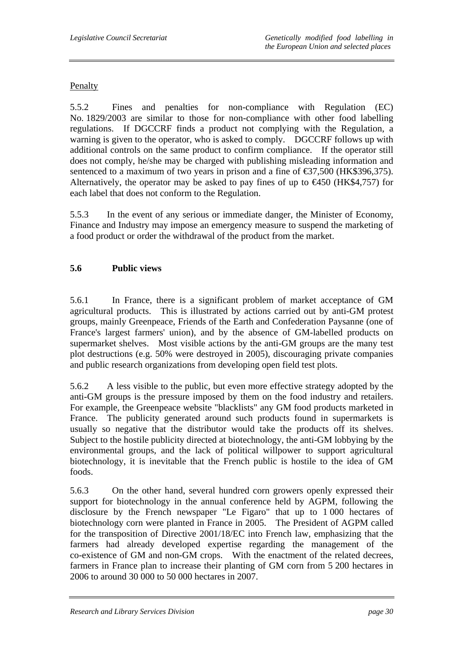#### Penalty

5.5.2 Fines and penalties for non-compliance with Regulation (EC) No. 1829/2003 are similar to those for non-compliance with other food labelling regulations. If DGCCRF finds a product not complying with the Regulation, a warning is given to the operator, who is asked to comply. DGCCRF follows up with additional controls on the same product to confirm compliance. If the operator still does not comply, he/she may be charged with publishing misleading information and sentenced to a maximum of two years in prison and a fine of  $\text{\textsterling}37,500$  (HK\$396,375). Alternatively, the operator may be asked to pay fines of up to  $\epsilon$ 450 (HK\$4,757) for each label that does not conform to the Regulation.

5.5.3 In the event of any serious or immediate danger, the Minister of Economy, Finance and Industry may impose an emergency measure to suspend the marketing of a food product or order the withdrawal of the product from the market.

#### **5.6 Public views**

5.6.1 In France, there is a significant problem of market acceptance of GM agricultural products. This is illustrated by actions carried out by anti-GM protest groups, mainly Greenpeace, Friends of the Earth and Confederation Paysanne (one of France's largest farmers' union), and by the absence of GM-labelled products on supermarket shelves. Most visible actions by the anti-GM groups are the many test plot destructions (e.g. 50% were destroyed in 2005), discouraging private companies and public research organizations from developing open field test plots.

5.6.2 A less visible to the public, but even more effective strategy adopted by the anti-GM groups is the pressure imposed by them on the food industry and retailers. For example, the Greenpeace website "blacklists" any GM food products marketed in France. The publicity generated around such products found in supermarkets is usually so negative that the distributor would take the products off its shelves. Subject to the hostile publicity directed at biotechnology, the anti-GM lobbying by the environmental groups, and the lack of political willpower to support agricultural biotechnology, it is inevitable that the French public is hostile to the idea of GM foods.

5.6.3 On the other hand, several hundred corn growers openly expressed their support for biotechnology in the annual conference held by AGPM, following the disclosure by the French newspaper "Le Figaro" that up to 1 000 hectares of biotechnology corn were planted in France in 2005. The President of AGPM called for the transposition of Directive 2001/18/EC into French law, emphasizing that the farmers had already developed expertise regarding the management of the co-existence of GM and non-GM crops. With the enactment of the related decrees, farmers in France plan to increase their planting of GM corn from 5 200 hectares in 2006 to around 30 000 to 50 000 hectares in 2007.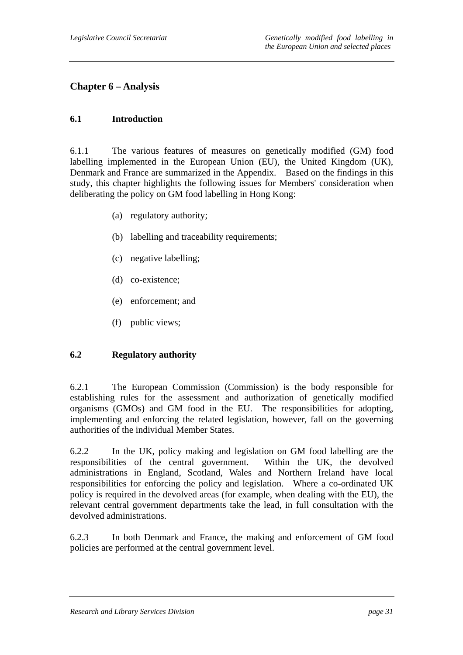## **Chapter 6 – Analysis**

#### **6.1 Introduction**

6.1.1 The various features of measures on genetically modified (GM) food labelling implemented in the European Union (EU), the United Kingdom (UK), Denmark and France are summarized in the Appendix. Based on the findings in this study, this chapter highlights the following issues for Members' consideration when deliberating the policy on GM food labelling in Hong Kong:

- (a) regulatory authority;
- (b) labelling and traceability requirements;
- (c) negative labelling;
- (d) co-existence;
- (e) enforcement; and
- (f) public views;

### **6.2 Regulatory authority**

6.2.1 The European Commission (Commission) is the body responsible for establishing rules for the assessment and authorization of genetically modified organisms (GMOs) and GM food in the EU. The responsibilities for adopting, implementing and enforcing the related legislation, however, fall on the governing authorities of the individual Member States.

6.2.2 In the UK, policy making and legislation on GM food labelling are the responsibilities of the central government. Within the UK, the devolved administrations in England, Scotland, Wales and Northern Ireland have local responsibilities for enforcing the policy and legislation. Where a co-ordinated UK policy is required in the devolved areas (for example, when dealing with the EU), the relevant central government departments take the lead, in full consultation with the devolved administrations.

6.2.3 In both Denmark and France, the making and enforcement of GM food policies are performed at the central government level.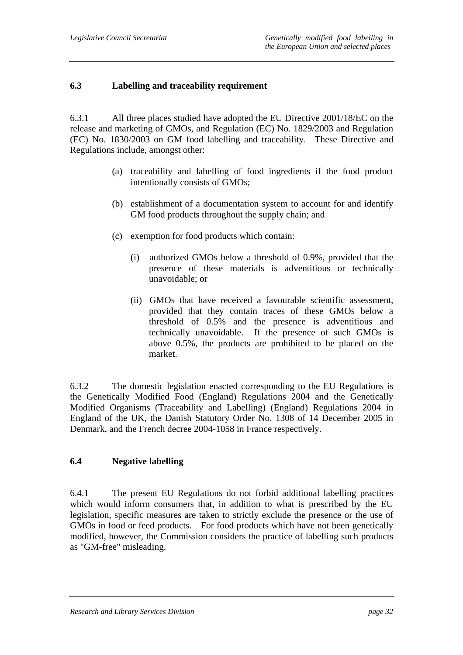## **6.3 Labelling and traceability requirement**

6.3.1 All three places studied have adopted the EU Directive 2001/18/EC on the release and marketing of GMOs, and Regulation (EC) No. 1829/2003 and Regulation (EC) No. 1830/2003 on GM food labelling and traceability. These Directive and Regulations include, amongst other:

- (a) traceability and labelling of food ingredients if the food product intentionally consists of GMOs;
- (b) establishment of a documentation system to account for and identify GM food products throughout the supply chain; and
- (c) exemption for food products which contain:
	- (i) authorized GMOs below a threshold of 0.9%, provided that the presence of these materials is adventitious or technically unavoidable; or
	- (ii) GMOs that have received a favourable scientific assessment, provided that they contain traces of these GMOs below a threshold of 0.5% and the presence is adventitious and technically unavoidable. If the presence of such GMOs is above 0.5%, the products are prohibited to be placed on the market.

6.3.2 The domestic legislation enacted corresponding to the EU Regulations is the Genetically Modified Food (England) Regulations 2004 and the Genetically Modified Organisms (Traceability and Labelling) (England) Regulations 2004 in England of the UK, the Danish Statutory Order No. 1308 of 14 December 2005 in Denmark, and the French decree 2004-1058 in France respectively.

### **6.4 Negative labelling**

6.4.1 The present EU Regulations do not forbid additional labelling practices which would inform consumers that, in addition to what is prescribed by the EU legislation, specific measures are taken to strictly exclude the presence or the use of GMOs in food or feed products. For food products which have not been genetically modified, however, the Commission considers the practice of labelling such products as "GM-free" misleading.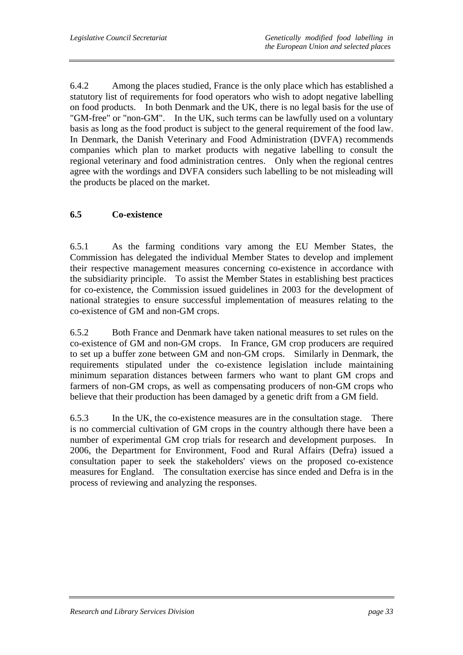6.4.2 Among the places studied, France is the only place which has established a statutory list of requirements for food operators who wish to adopt negative labelling on food products. In both Denmark and the UK, there is no legal basis for the use of "GM-free" or "non-GM". In the UK, such terms can be lawfully used on a voluntary basis as long as the food product is subject to the general requirement of the food law. In Denmark, the Danish Veterinary and Food Administration (DVFA) recommends companies which plan to market products with negative labelling to consult the regional veterinary and food administration centres. Only when the regional centres agree with the wordings and DVFA considers such labelling to be not misleading will the products be placed on the market.

### **6.5 Co-existence**

6.5.1 As the farming conditions vary among the EU Member States, the Commission has delegated the individual Member States to develop and implement their respective management measures concerning co-existence in accordance with the subsidiarity principle. To assist the Member States in establishing best practices for co-existence, the Commission issued guidelines in 2003 for the development of national strategies to ensure successful implementation of measures relating to the co-existence of GM and non-GM crops.

6.5.2 Both France and Denmark have taken national measures to set rules on the co-existence of GM and non-GM crops. In France, GM crop producers are required to set up a buffer zone between GM and non-GM crops. Similarly in Denmark, the requirements stipulated under the co-existence legislation include maintaining minimum separation distances between farmers who want to plant GM crops and farmers of non-GM crops, as well as compensating producers of non-GM crops who believe that their production has been damaged by a genetic drift from a GM field.

6.5.3 In the UK, the co-existence measures are in the consultation stage. There is no commercial cultivation of GM crops in the country although there have been a number of experimental GM crop trials for research and development purposes. In 2006, the Department for Environment, Food and Rural Affairs (Defra) issued a consultation paper to seek the stakeholders' views on the proposed co-existence measures for England. The consultation exercise has since ended and Defra is in the process of reviewing and analyzing the responses.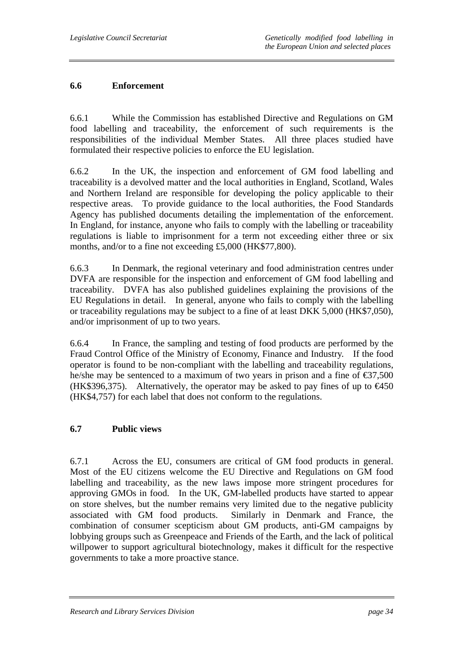#### **6.6 Enforcement**

6.6.1 While the Commission has established Directive and Regulations on GM food labelling and traceability, the enforcement of such requirements is the responsibilities of the individual Member States. All three places studied have formulated their respective policies to enforce the EU legislation.

6.6.2 In the UK, the inspection and enforcement of GM food labelling and traceability is a devolved matter and the local authorities in England, Scotland, Wales and Northern Ireland are responsible for developing the policy applicable to their respective areas. To provide guidance to the local authorities, the Food Standards Agency has published documents detailing the implementation of the enforcement. In England, for instance, anyone who fails to comply with the labelling or traceability regulations is liable to imprisonment for a term not exceeding either three or six months, and/or to a fine not exceeding £5,000 (HK\$77,800).

6.6.3 In Denmark, the regional veterinary and food administration centres under DVFA are responsible for the inspection and enforcement of GM food labelling and traceability. DVFA has also published guidelines explaining the provisions of the EU Regulations in detail. In general, anyone who fails to comply with the labelling or traceability regulations may be subject to a fine of at least DKK 5,000 (HK\$7,050), and/or imprisonment of up to two years.

6.6.4 In France, the sampling and testing of food products are performed by the Fraud Control Office of the Ministry of Economy, Finance and Industry. If the food operator is found to be non-compliant with the labelling and traceability regulations, he/she may be sentenced to a maximum of two years in prison and a fine of  $\epsilon$ 37,500 (HK\$396,375). Alternatively, the operator may be asked to pay fines of up to  $\epsilon$ 450 (HK\$4,757) for each label that does not conform to the regulations.

### **6.7 Public views**

6.7.1 Across the EU, consumers are critical of GM food products in general. Most of the EU citizens welcome the EU Directive and Regulations on GM food labelling and traceability, as the new laws impose more stringent procedures for approving GMOs in food. In the UK, GM-labelled products have started to appear on store shelves, but the number remains very limited due to the negative publicity associated with GM food products. Similarly in Denmark and France, the combination of consumer scepticism about GM products, anti-GM campaigns by lobbying groups such as Greenpeace and Friends of the Earth, and the lack of political willpower to support agricultural biotechnology, makes it difficult for the respective governments to take a more proactive stance.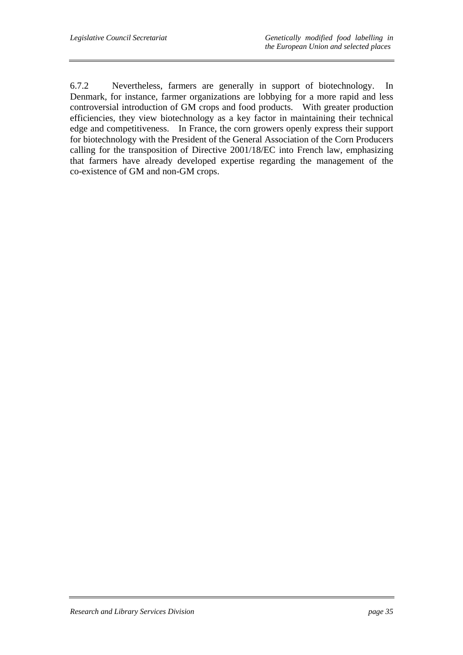6.7.2 Nevertheless, farmers are generally in support of biotechnology. In Denmark, for instance, farmer organizations are lobbying for a more rapid and less controversial introduction of GM crops and food products. With greater production efficiencies, they view biotechnology as a key factor in maintaining their technical edge and competitiveness. In France, the corn growers openly express their support for biotechnology with the President of the General Association of the Corn Producers calling for the transposition of Directive 2001/18/EC into French law, emphasizing that farmers have already developed expertise regarding the management of the co-existence of GM and non-GM crops.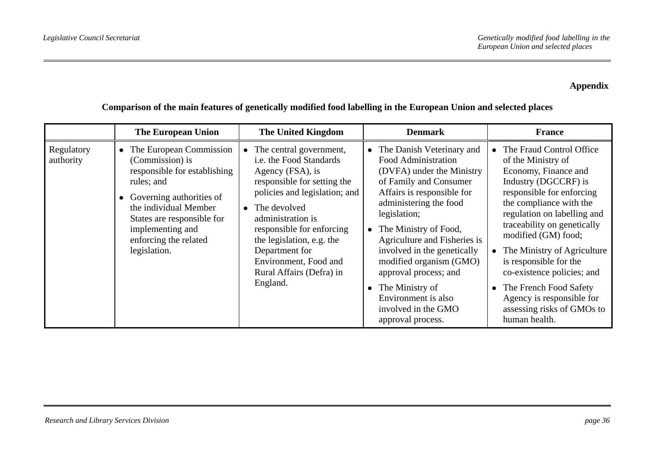## **Appendix**

|                         | <b>The European Union</b>                                                                                                                                                                                                                  | <b>The United Kingdom</b>                                                                                                                                                                                                                                                                                                                       | <b>Denmark</b>                                                                                                                                                                                                                                                                                                                                                                                                          | <b>France</b>                                                                                                                                                                                                                                                                                                                                                                                                                            |
|-------------------------|--------------------------------------------------------------------------------------------------------------------------------------------------------------------------------------------------------------------------------------------|-------------------------------------------------------------------------------------------------------------------------------------------------------------------------------------------------------------------------------------------------------------------------------------------------------------------------------------------------|-------------------------------------------------------------------------------------------------------------------------------------------------------------------------------------------------------------------------------------------------------------------------------------------------------------------------------------------------------------------------------------------------------------------------|------------------------------------------------------------------------------------------------------------------------------------------------------------------------------------------------------------------------------------------------------------------------------------------------------------------------------------------------------------------------------------------------------------------------------------------|
| Regulatory<br>authority | • The European Commission<br>(Commission) is<br>responsible for establishing<br>rules; and<br>Governing authorities of<br>the individual Member<br>States are responsible for<br>implementing and<br>enforcing the related<br>legislation. | The central government,<br>$\bullet$<br>i.e. the Food Standards<br>Agency (FSA), is<br>responsible for setting the<br>policies and legislation; and<br>$\bullet$ The devolved<br>administration is<br>responsible for enforcing<br>the legislation, e.g. the<br>Department for<br>Environment, Food and<br>Rural Affairs (Defra) in<br>England. | • The Danish Veterinary and<br>Food Administration<br>(DVFA) under the Ministry<br>of Family and Consumer<br>Affairs is responsible for<br>administering the food<br>legislation;<br>• The Ministry of Food,<br>Agriculture and Fisheries is<br>involved in the genetically<br>modified organism (GMO)<br>approval process; and<br>• The Ministry of<br>Environment is also<br>involved in the GMO<br>approval process. | The Fraud Control Office<br>of the Ministry of<br>Economy, Finance and<br>Industry (DGCCRF) is<br>responsible for enforcing<br>the compliance with the<br>regulation on labelling and<br>traceability on genetically<br>modified (GM) food;<br>The Ministry of Agriculture<br>is responsible for the<br>co-existence policies; and<br>The French Food Safety<br>Agency is responsible for<br>assessing risks of GMOs to<br>human health. |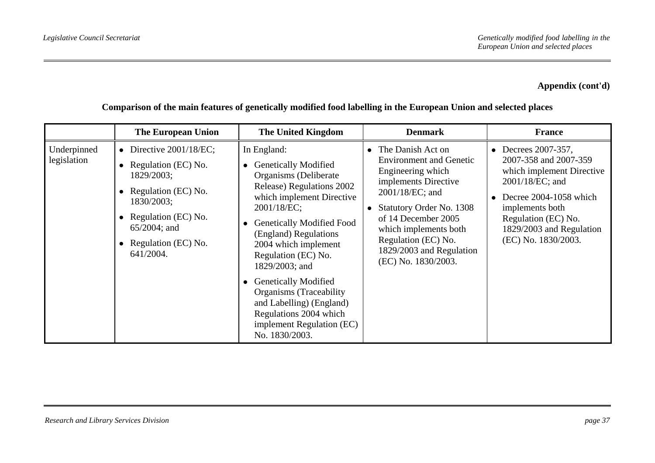|                            | <b>The European Union</b>                                                                                                                                                                | <b>The United Kingdom</b>                                                                                                                                                                                                                                                                                                                                                                                                                                            | <b>Denmark</b>                                                                                                                                                                                                                                                                                | <b>France</b>                                                                                                                                                                                                                               |
|----------------------------|------------------------------------------------------------------------------------------------------------------------------------------------------------------------------------------|----------------------------------------------------------------------------------------------------------------------------------------------------------------------------------------------------------------------------------------------------------------------------------------------------------------------------------------------------------------------------------------------------------------------------------------------------------------------|-----------------------------------------------------------------------------------------------------------------------------------------------------------------------------------------------------------------------------------------------------------------------------------------------|---------------------------------------------------------------------------------------------------------------------------------------------------------------------------------------------------------------------------------------------|
| Underpinned<br>legislation | • Directive $2001/18/EC$ ;<br>Regulation (EC) No.<br>1829/2003;<br>• Regulation (EC) No.<br>1830/2003;<br>• Regulation (EC) No.<br>$65/2004$ ; and<br>• Regulation (EC) No.<br>641/2004. | In England:<br><b>Genetically Modified</b><br>$\bullet$<br>Organisms (Deliberate<br>Release) Regulations 2002<br>which implement Directive<br>2001/18/EC;<br><b>Genetically Modified Food</b><br>$\bullet$<br>(England) Regulations<br>2004 which implement<br>Regulation (EC) No.<br>1829/2003; and<br><b>Genetically Modified</b><br>Organisms (Traceability)<br>and Labelling) (England)<br>Regulations 2004 which<br>implement Regulation (EC)<br>No. 1830/2003. | The Danish Act on<br>$\bullet$<br><b>Environment and Genetic</b><br>Engineering which<br>implements Directive<br>2001/18/EC; and<br><b>Statutory Order No. 1308</b><br>of 14 December 2005<br>which implements both<br>Regulation (EC) No.<br>1829/2003 and Regulation<br>(EC) No. 1830/2003. | Decrees 2007-357,<br>$\bullet$<br>2007-358 and 2007-359<br>which implement Directive<br>2001/18/EC; and<br>Decree 2004-1058 which<br>$\bullet$<br>implements both<br>Regulation (EC) No.<br>1829/2003 and Regulation<br>(EC) No. 1830/2003. |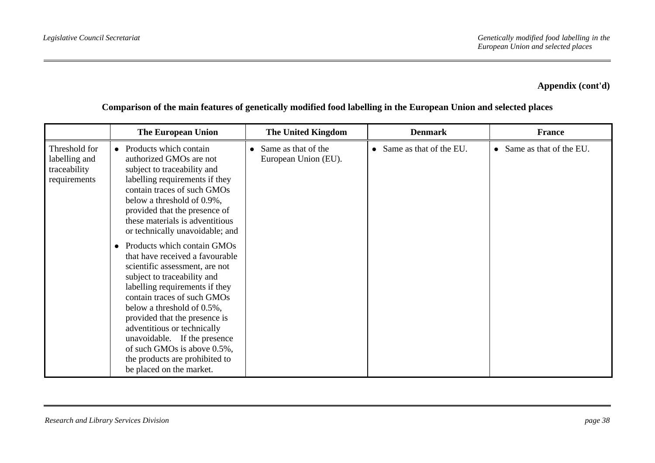|                                                                | <b>The European Union</b>                                                                                                                                                                                                                                                                                                                                                                                                                                                                                                                                                                                                                                                                                           | <b>The United Kingdom</b>                   | <b>Denmark</b>                       | <b>France</b>                        |
|----------------------------------------------------------------|---------------------------------------------------------------------------------------------------------------------------------------------------------------------------------------------------------------------------------------------------------------------------------------------------------------------------------------------------------------------------------------------------------------------------------------------------------------------------------------------------------------------------------------------------------------------------------------------------------------------------------------------------------------------------------------------------------------------|---------------------------------------------|--------------------------------------|--------------------------------------|
| Threshold for<br>labelling and<br>traceability<br>requirements | Products which contain<br>$\bullet$<br>authorized GMOs are not<br>subject to traceability and<br>labelling requirements if they<br>contain traces of such GMOs<br>below a threshold of 0.9%,<br>provided that the presence of<br>these materials is adventitious<br>or technically unavoidable; and<br>Products which contain GMOs<br>$\bullet$<br>that have received a favourable<br>scientific assessment, are not<br>subject to traceability and<br>labelling requirements if they<br>contain traces of such GMOs<br>below a threshold of 0.5%,<br>provided that the presence is<br>adventitious or technically<br>unavoidable. If the presence<br>of such GMOs is above 0.5%,<br>the products are prohibited to | Same as that of the<br>European Union (EU). | Same as that of the EU.<br>$\bullet$ | Same as that of the EU.<br>$\bullet$ |
|                                                                | be placed on the market.                                                                                                                                                                                                                                                                                                                                                                                                                                                                                                                                                                                                                                                                                            |                                             |                                      |                                      |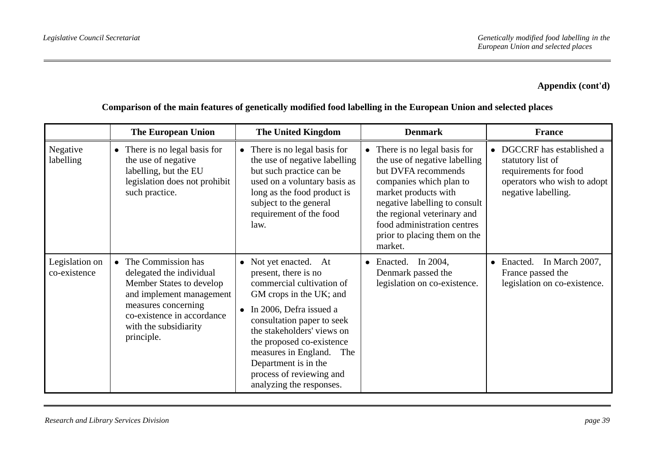|                                | <b>The European Union</b>                                                                                                                                                                                       | <b>The United Kingdom</b>                                                                                                                                                                                                                                                                                                                  | <b>Denmark</b>                                                                                                                                                                                                                                                                     | <b>France</b>                                                                                                                |
|--------------------------------|-----------------------------------------------------------------------------------------------------------------------------------------------------------------------------------------------------------------|--------------------------------------------------------------------------------------------------------------------------------------------------------------------------------------------------------------------------------------------------------------------------------------------------------------------------------------------|------------------------------------------------------------------------------------------------------------------------------------------------------------------------------------------------------------------------------------------------------------------------------------|------------------------------------------------------------------------------------------------------------------------------|
| Negative<br>labelling          | There is no legal basis for<br>$\bullet$<br>the use of negative<br>labelling, but the EU<br>legislation does not prohibit<br>such practice.                                                                     | There is no legal basis for<br>the use of negative labelling<br>but such practice can be<br>used on a voluntary basis as<br>long as the food product is<br>subject to the general<br>requirement of the food<br>law.                                                                                                                       | • There is no legal basis for<br>the use of negative labelling<br>but DVFA recommends<br>companies which plan to<br>market products with<br>negative labelling to consult<br>the regional veterinary and<br>food administration centres<br>prior to placing them on the<br>market. | DGCCRF has established a<br>statutory list of<br>requirements for food<br>operators who wish to adopt<br>negative labelling. |
| Legislation on<br>co-existence | The Commission has<br>$\bullet$<br>delegated the individual<br>Member States to develop<br>and implement management<br>measures concerning<br>co-existence in accordance<br>with the subsidiarity<br>principle. | • Not yet enacted. At<br>present, there is no<br>commercial cultivation of<br>GM crops in the UK; and<br>• In 2006, Defra issued a<br>consultation paper to seek<br>the stakeholders' views on<br>the proposed co-existence<br>measures in England.<br>The<br>Department is in the<br>process of reviewing and<br>analyzing the responses. | $\bullet$ Enacted. In 2004,<br>Denmark passed the<br>legislation on co-existence.                                                                                                                                                                                                  | In March 2007,<br>Enacted.<br>$\bullet$<br>France passed the<br>legislation on co-existence.                                 |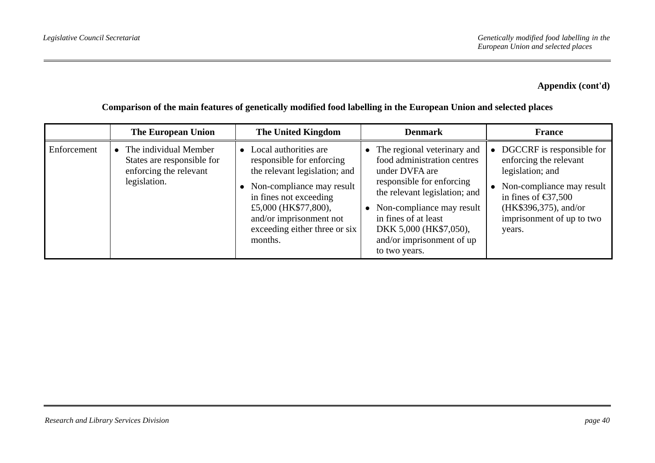**Comparison of the main features of genetically modified food labelling in the European Union and selected places** 

|             | The European Union                                                                              | The United Kingdom                                                                                                                                                                                                                          | <b>Denmark</b>                                                                                                                                                                                                                                                          | <b>France</b>                                                                                                                                                                                                                |
|-------------|-------------------------------------------------------------------------------------------------|---------------------------------------------------------------------------------------------------------------------------------------------------------------------------------------------------------------------------------------------|-------------------------------------------------------------------------------------------------------------------------------------------------------------------------------------------------------------------------------------------------------------------------|------------------------------------------------------------------------------------------------------------------------------------------------------------------------------------------------------------------------------|
| Enforcement | • The individual Member<br>States are responsible for<br>enforcing the relevant<br>legislation. | • Local authorities are<br>responsible for enforcing<br>the relevant legislation; and<br>Non-compliance may result<br>in fines not exceeding<br>£5,000 (HK\$77,800),<br>and/or imprisonment not<br>exceeding either three or six<br>months. | The regional veterinary and<br>food administration centres<br>under DVFA are<br>responsible for enforcing<br>the relevant legislation; and<br>Non-compliance may result<br>in fines of at least<br>DKK 5,000 (HK\$7,050),<br>and/or imprisonment of up<br>to two years. | • DGCCRF is responsible for<br>enforcing the relevant<br>legislation; and<br>$\bullet$ Non-compliance may result<br>in fines of $\text{\textsterling}37,500$<br>(HK\$396,375), and/or<br>imprisonment of up to two<br>years. |

#### *Research and Library Services Division page 40*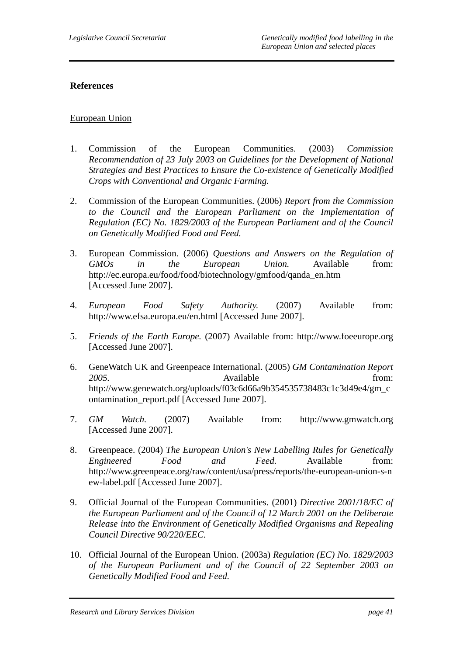#### **References**

#### European Union

- 1. Commission of the European Communities. (2003) *Commission Recommendation of 23 July 2003 on Guidelines for the Development of National Strategies and Best Practices to Ensure the Co-existence of Genetically Modified Crops with Conventional and Organic Farming.*
- 2. Commission of the European Communities. (2006) *Report from the Commission to the Council and the European Parliament on the Implementation of Regulation (EC) No. 1829/2003 of the European Parliament and of the Council on Genetically Modified Food and Feed.*
- 3. European Commission. (2006) *Questions and Answers on the Regulation of GMOs in the European Union.* Available from: http://ec.europa.eu/food/food/biotechnology/gmfood/qanda\_en.htm [Accessed June 2007].
- 4. *European Food Safety Authority.* (2007) Available from: http://www.efsa.europa.eu/en.html [Accessed June 2007].
- 5. *Friends of the Earth Europe.* (2007) Available from: http://www.foeeurope.org [Accessed June 2007].
- 6. GeneWatch UK and Greenpeace International. (2005) *GM Contamination Report 2005.* Available from: http://www.genewatch.org/uploads/f03c6d66a9b354535738483c1c3d49e4/gm\_c ontamination\_report.pdf [Accessed June 2007].
- 7. *GM Watch.* (2007) Available from: http://www.gmwatch.org [Accessed June 2007].
- 8. Greenpeace. (2004) *The European Union's New Labelling Rules for Genetically Engineered Food and Feed.* Available from: http://www.greenpeace.org/raw/content/usa/press/reports/the-european-union-s-n ew-label.pdf [Accessed June 2007].
- 9. Official Journal of the European Communities. (2001) *Directive 2001/18/EC of the European Parliament and of the Council of 12 March 2001 on the Deliberate Release into the Environment of Genetically Modified Organisms and Repealing Council Directive 90/220/EEC.*
- 10. Official Journal of the European Union. (2003a) *Regulation (EC) No. 1829/2003 of the European Parliament and of the Council of 22 September 2003 on Genetically Modified Food and Feed.*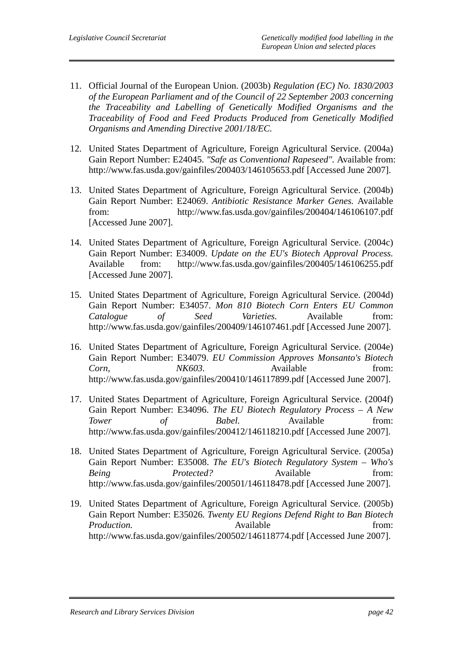- 11. Official Journal of the European Union. (2003b) *Regulation (EC) No. 1830/2003 of the European Parliament and of the Council of 22 September 2003 concerning the Traceability and Labelling of Genetically Modified Organisms and the Traceability of Food and Feed Products Produced from Genetically Modified Organisms and Amending Directive 2001/18/EC.*
- 12. United States Department of Agriculture, Foreign Agricultural Service. (2004a) Gain Report Number: E24045. *"Safe as Conventional Rapeseed".* Available from: http://www.fas.usda.gov/gainfiles/200403/146105653.pdf [Accessed June 2007].
- 13. United States Department of Agriculture, Foreign Agricultural Service. (2004b) Gain Report Number: E24069. *Antibiotic Resistance Marker Genes.* Available from: http://www.fas.usda.gov/gainfiles/200404/146106107.pdf [Accessed June 2007].
- 14. United States Department of Agriculture, Foreign Agricultural Service. (2004c) Gain Report Number: E34009. *Update on the EU's Biotech Approval Process.*  Available from: http://www.fas.usda.gov/gainfiles/200405/146106255.pdf [Accessed June 2007].
- 15. United States Department of Agriculture, Foreign Agricultural Service. (2004d) Gain Report Number: E34057. *Mon 810 Biotech Corn Enters EU Common Catalogue of Seed Varieties.* Available from: http://www.fas.usda.gov/gainfiles/200409/146107461.pdf [Accessed June 2007].
- 16. United States Department of Agriculture, Foreign Agricultural Service. (2004e) Gain Report Number: E34079. *EU Commission Approves Monsanto's Biotech Corn, NK603.* Available from: http://www.fas.usda.gov/gainfiles/200410/146117899.pdf [Accessed June 2007].
- 17. United States Department of Agriculture, Foreign Agricultural Service. (2004f) Gain Report Number: E34096. *The EU Biotech Regulatory Process – A New Tower of Babel.* Available from: http://www.fas.usda.gov/gainfiles/200412/146118210.pdf [Accessed June 2007].
- 18. United States Department of Agriculture, Foreign Agricultural Service. (2005a) Gain Report Number: E35008. *The EU's Biotech Regulatory System – Who's Being Protected?* Available from: http://www.fas.usda.gov/gainfiles/200501/146118478.pdf [Accessed June 2007].
- 19. United States Department of Agriculture, Foreign Agricultural Service. (2005b) Gain Report Number: E35026*. Twenty EU Regions Defend Right to Ban Biotech Production.* Available *Available* from: http://www.fas.usda.gov/gainfiles/200502/146118774.pdf [Accessed June 2007].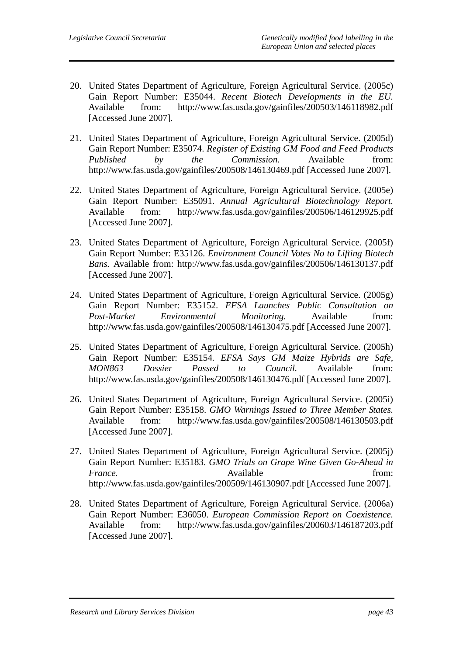- 20. United States Department of Agriculture, Foreign Agricultural Service. (2005c) Gain Report Number: E35044. *Recent Biotech Developments in the EU.*  Available from: http://www.fas.usda.gov/gainfiles/200503/146118982.pdf [Accessed June 2007].
- 21. United States Department of Agriculture, Foreign Agricultural Service. (2005d) Gain Report Number: E35074. *Register of Existing GM Food and Feed Products Published by the Commission.* Available from: http://www.fas.usda.gov/gainfiles/200508/146130469.pdf [Accessed June 2007].
- 22. United States Department of Agriculture, Foreign Agricultural Service. (2005e) Gain Report Number: E35091. *Annual Agricultural Biotechnology Report.*  Available from: http://www.fas.usda.gov/gainfiles/200506/146129925.pdf [Accessed June 2007].
- 23. United States Department of Agriculture, Foreign Agricultural Service. (2005f) Gain Report Number: E35126. *Environment Council Votes No to Lifting Biotech Bans.* Available from: http://www.fas.usda.gov/gainfiles/200506/146130137.pdf [Accessed June 2007].
- 24. United States Department of Agriculture, Foreign Agricultural Service. (2005g) Gain Report Number: E35152. *EFSA Launches Public Consultation on Post-Market Environmental Monitoring.* Available from: http://www.fas.usda.gov/gainfiles/200508/146130475.pdf [Accessed June 2007].
- 25. United States Department of Agriculture, Foreign Agricultural Service. (2005h) Gain Report Number: E35154*. EFSA Says GM Maize Hybrids are Safe, MON863 Dossier Passed to Council.* Available from: http://www.fas.usda.gov/gainfiles/200508/146130476.pdf [Accessed June 2007].
- 26. United States Department of Agriculture, Foreign Agricultural Service. (2005i) Gain Report Number: E35158. *GMO Warnings Issued to Three Member States.*  Available from: http://www.fas.usda.gov/gainfiles/200508/146130503.pdf [Accessed June 2007].
- 27. United States Department of Agriculture, Foreign Agricultural Service. (2005j) Gain Report Number: E35183. *GMO Trials on Grape Wine Given Go-Ahead in France.* Available **contracts** contract and **Available** from: http://www.fas.usda.gov/gainfiles/200509/146130907.pdf [Accessed June 2007].
- 28. United States Department of Agriculture, Foreign Agricultural Service. (2006a) Gain Report Number: E36050. *European Commission Report on Coexistence.*  Available from: http://www.fas.usda.gov/gainfiles/200603/146187203.pdf [Accessed June 2007].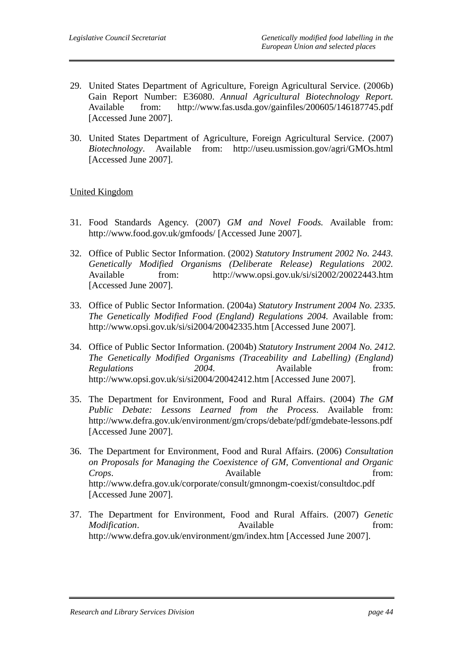- 29. United States Department of Agriculture, Foreign Agricultural Service. (2006b) Gain Report Number: E36080. *Annual Agricultural Biotechnology Report.*  Available from: http://www.fas.usda.gov/gainfiles/200605/146187745.pdf [Accessed June 2007].
- 30. United States Department of Agriculture, Foreign Agricultural Service. (2007) *Biotechnology*. Available from: http://useu.usmission.gov/agri/GMOs.html [Accessed June 2007].

#### United Kingdom

- 31. Food Standards Agency. (2007) *GM and Novel Foods.* Available from: http://www.food.gov.uk/gmfoods/ [Accessed June 2007].
- 32. Office of Public Sector Information. (2002) *Statutory Instrument 2002 No. 2443. Genetically Modified Organisms (Deliberate Release) Regulations 2002.*  Available from: http://www.opsi.gov.uk/si/si2002/20022443.htm [Accessed June 2007].
- 33. Office of Public Sector Information. (2004a) *Statutory Instrument 2004 No. 2335. The Genetically Modified Food (England) Regulations 2004.* Available from: http://www.opsi.gov.uk/si/si2004/20042335.htm [Accessed June 2007].
- 34. Office of Public Sector Information. (2004b) *Statutory Instrument 2004 No. 2412. The Genetically Modified Organisms (Traceability and Labelling) (England) Regulations* 2004. Available from: http://www.opsi.gov.uk/si/si2004/20042412.htm [Accessed June 2007].
- 35. The Department for Environment, Food and Rural Affairs. (2004) *The GM Public Debate: Lessons Learned from the Process*. Available from: http://www.defra.gov.uk/environment/gm/crops/debate/pdf/gmdebate-lessons.pdf [Accessed June 2007].
- 36. The Department for Environment, Food and Rural Affairs. (2006) *Consultation on Proposals for Managing the Coexistence of GM, Conventional and Organic Crops.* Available from: http://www.defra.gov.uk/corporate/consult/gmnongm-coexist/consultdoc.pdf [Accessed June 2007].
- 37. The Department for Environment, Food and Rural Affairs. (2007) *Genetic Modification.* Available from: http://www.defra.gov.uk/environment/gm/index.htm [Accessed June 2007].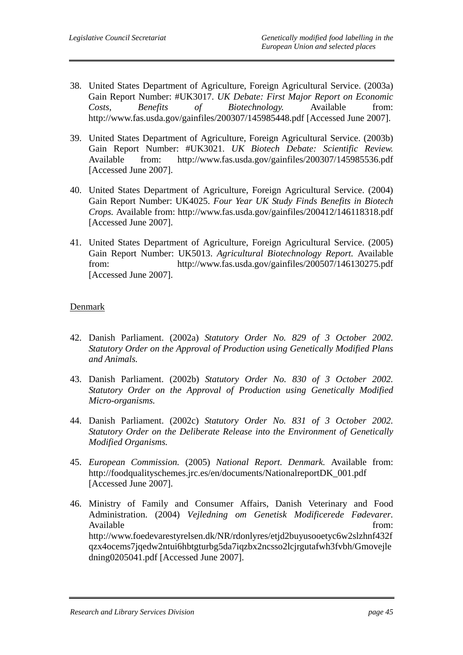- 38. United States Department of Agriculture, Foreign Agricultural Service. (2003a) Gain Report Number: #UK3017. *UK Debate: First Major Report on Economic Costs, Benefits of Biotechnology.* Available from: http://www.fas.usda.gov/gainfiles/200307/145985448.pdf [Accessed June 2007].
- 39. United States Department of Agriculture, Foreign Agricultural Service. (2003b) Gain Report Number: #UK3021. *UK Biotech Debate: Scientific Review.*  Available from: http://www.fas.usda.gov/gainfiles/200307/145985536.pdf [Accessed June 2007].
- 40. United States Department of Agriculture, Foreign Agricultural Service. (2004) Gain Report Number: UK4025. *Four Year UK Study Finds Benefits in Biotech Crops.* Available from: http://www.fas.usda.gov/gainfiles/200412/146118318.pdf [Accessed June 2007].
- 41. United States Department of Agriculture, Foreign Agricultural Service. (2005) Gain Report Number: UK5013. *Agricultural Biotechnology Report.* Available from: http://www.fas.usda.gov/gainfiles/200507/146130275.pdf [Accessed June 2007].

#### Denmark

- 42. Danish Parliament. (2002a) *Statutory Order No. 829 of 3 October 2002. Statutory Order on the Approval of Production using Genetically Modified Plans and Animals.*
- 43. Danish Parliament. (2002b) *Statutory Order No. 830 of 3 October 2002. Statutory Order on the Approval of Production using Genetically Modified Micro-organisms.*
- 44. Danish Parliament. (2002c) *Statutory Order No. 831 of 3 October 2002. Statutory Order on the Deliberate Release into the Environment of Genetically Modified Organisms.*
- 45. *European Commission.* (2005) *National Report. Denmark.* Available from: http://foodqualityschemes.jrc.es/en/documents/NationalreportDK\_001.pdf [Accessed June 2007].
- 46. Ministry of Family and Consumer Affairs, Danish Veterinary and Food Administration. (2004) *Vejledning om Genetisk Modificerede Fødevarer.*  Available from:  $\blacksquare$ http://www.foedevarestyrelsen.dk/NR/rdonlyres/etjd2buyusooetyc6w2slzhnf432f qzx4ocems7jqedw2ntui6hbtgturbg5da7iqzbx2ncsso2lcjrgutafwh3fvbh/Gmovejle dning0205041.pdf [Accessed June 2007].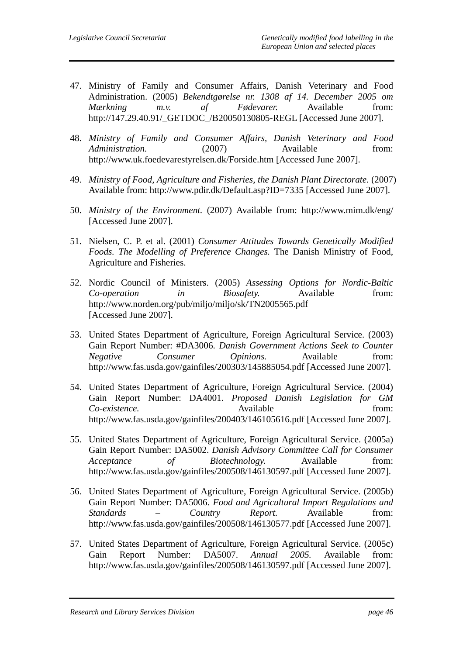- 47. Ministry of Family and Consumer Affairs, Danish Veterinary and Food Administration. (2005) *Bekendtgørelse nr. 1308 af 14. December 2005 om Mærkning m.v. af Fødevarer.* Available from: http://147.29.40.91/\_GETDOC\_/B20050130805-REGL [Accessed June 2007].
- 48. *Ministry of Family and Consumer Affairs, Danish Veterinary and Food Administration.* (2007) Available from: http://www.uk.foedevarestyrelsen.dk/Forside.htm [Accessed June 2007].
- 49. *Ministry of Food, Agriculture and Fisheries, the Danish Plant Directorate.* (2007) Available from: http://www.pdir.dk/Default.asp?ID=7335 [Accessed June 2007].
- 50. *Ministry of the Environment.* (2007) Available from: http://www.mim.dk/eng/ [Accessed June 2007].
- 51. Nielsen, C. P. et al. (2001) *Consumer Attitudes Towards Genetically Modified Foods. The Modelling of Preference Changes.* The Danish Ministry of Food, Agriculture and Fisheries.
- 52. Nordic Council of Ministers. (2005) *Assessing Options for Nordic-Baltic Co-operation in Biosafety.* Available from: http://www.norden.org/pub/miljo/miljo/sk/TN2005565.pdf [Accessed June 2007].
- 53. United States Department of Agriculture, Foreign Agricultural Service. (2003) Gain Report Number: #DA3006. *Danish Government Actions Seek to Counter Negative Consumer Opinions.* Available from: http://www.fas.usda.gov/gainfiles/200303/145885054.pdf [Accessed June 2007].
- 54. United States Department of Agriculture, Foreign Agricultural Service. (2004) Gain Report Number: DA4001. *Proposed Danish Legislation for GM Co-existence.* Available from: http://www.fas.usda.gov/gainfiles/200403/146105616.pdf [Accessed June 2007].
- 55. United States Department of Agriculture, Foreign Agricultural Service. (2005a) Gain Report Number: DA5002. *Danish Advisory Committee Call for Consumer Acceptance of Biotechnology.* Available from: http://www.fas.usda.gov/gainfiles/200508/146130597.pdf [Accessed June 2007].
- 56. United States Department of Agriculture, Foreign Agricultural Service. (2005b) Gain Report Number: DA5006. *Food and Agricultural Import Regulations and Standards – Country Report.* Available from: http://www.fas.usda.gov/gainfiles/200508/146130577.pdf [Accessed June 2007].
- 57. United States Department of Agriculture, Foreign Agricultural Service. (2005c) Gain Report Number: DA5007. *Annual 2005.* Available from: http://www.fas.usda.gov/gainfiles/200508/146130597.pdf [Accessed June 2007].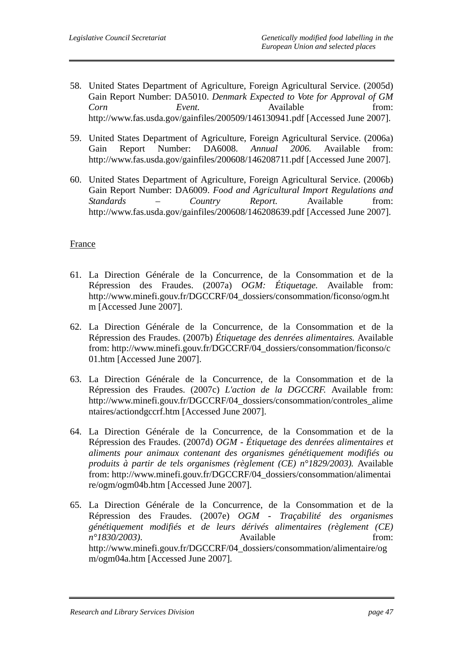- 58. United States Department of Agriculture, Foreign Agricultural Service. (2005d) Gain Report Number: DA5010. *Denmark Expected to Vote for Approval of GM Corn Event.* Available from: http://www.fas.usda.gov/gainfiles/200509/146130941.pdf [Accessed June 2007].
- 59. United States Department of Agriculture, Foreign Agricultural Service. (2006a) Gain Report Number: DA6008. *Annual 2006.* Available from: http://www.fas.usda.gov/gainfiles/200608/146208711.pdf [Accessed June 2007].
- 60. United States Department of Agriculture, Foreign Agricultural Service. (2006b) Gain Report Number: DA6009. *Food and Agricultural Import Regulations and Standards – Country Report.* Available from: http://www.fas.usda.gov/gainfiles/200608/146208639.pdf [Accessed June 2007].

#### France

- 61. La Direction Générale de la Concurrence, de la Consommation et de la Répression des Fraudes. (2007a) *OGM: Étiquetage.* Available from: http://www.minefi.gouv.fr/DGCCRF/04\_dossiers/consommation/ficonso/ogm.ht m [Accessed June 2007].
- 62. La Direction Générale de la Concurrence, de la Consommation et de la Répression des Fraudes. (2007b) *Étiquetage des denrées alimentaires.* Available from: http://www.minefi.gouv.fr/DGCCRF/04\_dossiers/consommation/ficonso/c 01.htm [Accessed June 2007].
- 63. La Direction Générale de la Concurrence, de la Consommation et de la Répression des Fraudes. (2007c) *L'action de la DGCCRF.* Available from: http://www.minefi.gouv.fr/DGCCRF/04\_dossiers/consommation/controles\_alime ntaires/actiondgccrf.htm [Accessed June 2007].
- 64. La Direction Générale de la Concurrence, de la Consommation et de la Répression des Fraudes. (2007d) *OGM - Étiquetage des denrées alimentaires et aliments pour animaux contenant des organismes génétiquement modifiés ou produits à partir de tels organismes (règlement (CE) n°1829/2003).* Available from: http://www.minefi.gouv.fr/DGCCRF/04\_dossiers/consommation/alimentai re/ogm/ogm04b.htm [Accessed June 2007].
- 65. La Direction Générale de la Concurrence, de la Consommation et de la Répression des Fraudes. (2007e) *OGM - Traçabilité des organismes génétiquement modifiés et de leurs dérivés alimentaires (règlement (CE) n°1830/2003*). Available from: http://www.minefi.gouv.fr/DGCCRF/04\_dossiers/consommation/alimentaire/og m/ogm04a.htm [Accessed June 2007].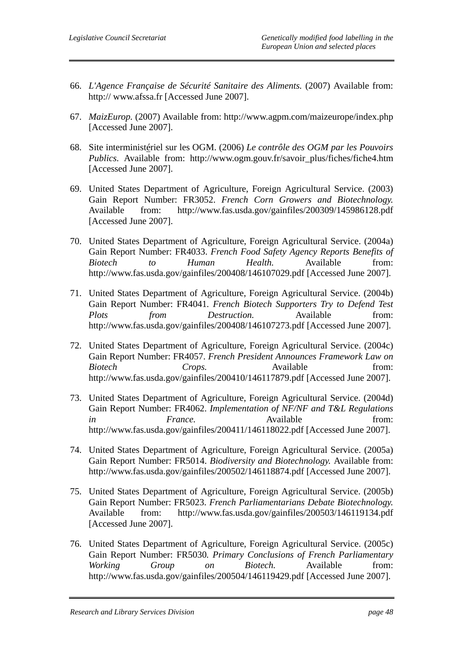- 66. *L'Agence Française de Sécurité Sanitaire des Aliments.* (2007) Available from: http:// www.afssa.fr [Accessed June 2007].
- 67. *MaizEurop.* (2007) Available from: http://www.agpm.com/maizeurope/index.php [Accessed June 2007].
- 68. Site interministériel sur les OGM. (2006) *Le contrôle des OGM par les Pouvoirs Publics.* Available from: http://www.ogm.gouv.fr/savoir\_plus/fiches/fiche4.htm [Accessed June 2007].
- 69. United States Department of Agriculture, Foreign Agricultural Service. (2003) Gain Report Number: FR3052. *French Corn Growers and Biotechnology.*  Available from: http://www.fas.usda.gov/gainfiles/200309/145986128.pdf [Accessed June 2007].
- 70. United States Department of Agriculture, Foreign Agricultural Service. (2004a) Gain Report Number: FR4033. *French Food Safety Agency Reports Benefits of Biotech to Human Health.* Available from: http://www.fas.usda.gov/gainfiles/200408/146107029.pdf [Accessed June 2007].
- 71. United States Department of Agriculture, Foreign Agricultural Service. (2004b) Gain Report Number: FR4041*. French Biotech Supporters Try to Defend Test Plots from Destruction.* Available from: http://www.fas.usda.gov/gainfiles/200408/146107273.pdf [Accessed June 2007].
- 72. United States Department of Agriculture, Foreign Agricultural Service. (2004c) Gain Report Number: FR4057. *French President Announces Framework Law on Biotech Crops.* Available from: http://www.fas.usda.gov/gainfiles/200410/146117879.pdf [Accessed June 2007].
- 73. United States Department of Agriculture, Foreign Agricultural Service. (2004d) Gain Report Number: FR4062. *Implementation of NF/NF and T&L Regulations in* France. Available from: http://www.fas.usda.gov/gainfiles/200411/146118022.pdf [Accessed June 2007].
- 74. United States Department of Agriculture, Foreign Agricultural Service. (2005a) Gain Report Number: FR5014. *Biodiversity and Biotechnology.* Available from: http://www.fas.usda.gov/gainfiles/200502/146118874.pdf [Accessed June 2007].
- 75. United States Department of Agriculture, Foreign Agricultural Service. (2005b) Gain Report Number: FR5023. *French Parliamentarians Debate Biotechnology.*  Available from: http://www.fas.usda.gov/gainfiles/200503/146119134.pdf [Accessed June 2007].
- 76. United States Department of Agriculture, Foreign Agricultural Service. (2005c) Gain Report Number: FR5030*. Primary Conclusions of French Parliamentary Working Group on Biotech.* Available from: http://www.fas.usda.gov/gainfiles/200504/146119429.pdf [Accessed June 2007].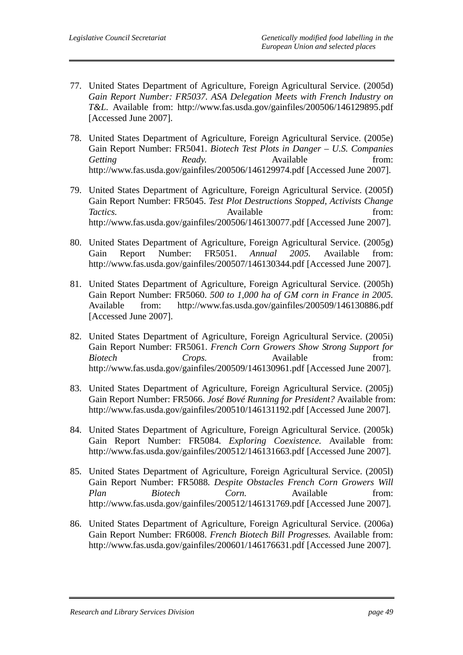- 77. United States Department of Agriculture, Foreign Agricultural Service. (2005d) *Gain Report Number: FR5037. ASA Delegation Meets with French Industry on T&L.* Available from: http://www.fas.usda.gov/gainfiles/200506/146129895.pdf [Accessed June 2007].
- 78. United States Department of Agriculture, Foreign Agricultural Service. (2005e) Gain Report Number: FR5041. *Biotech Test Plots in Danger – U.S. Companies*  Getting Ready. **Ready.** Available from: http://www.fas.usda.gov/gainfiles/200506/146129974.pdf [Accessed June 2007].
- 79. United States Department of Agriculture, Foreign Agricultural Service. (2005f) Gain Report Number: FR5045. *Test Plot Destructions Stopped, Activists Change Tactics.* **Available** *CON From: CON From: CON* http://www.fas.usda.gov/gainfiles/200506/146130077.pdf [Accessed June 2007].
- 80. United States Department of Agriculture, Foreign Agricultural Service. (2005g) Gain Report Number: FR5051. *Annual 2005.* Available from: http://www.fas.usda.gov/gainfiles/200507/146130344.pdf [Accessed June 2007].
- 81. United States Department of Agriculture, Foreign Agricultural Service. (2005h) Gain Report Number: FR5060. *500 to 1,000 ha of GM corn in France in 2005.*  Available from: http://www.fas.usda.gov/gainfiles/200509/146130886.pdf [Accessed June 2007].
- 82. United States Department of Agriculture, Foreign Agricultural Service. (2005i) Gain Report Number: FR5061. *French Corn Growers Show Strong Support for Biotech Crops.* Available from: http://www.fas.usda.gov/gainfiles/200509/146130961.pdf [Accessed June 2007].
- 83. United States Department of Agriculture, Foreign Agricultural Service. (2005j) Gain Report Number: FR5066. *José Bové Running for President?* Available from: http://www.fas.usda.gov/gainfiles/200510/146131192.pdf [Accessed June 2007].
- 84. United States Department of Agriculture, Foreign Agricultural Service. (2005k) Gain Report Number: FR5084. *Exploring Coexistence.* Available from: http://www.fas.usda.gov/gainfiles/200512/146131663.pdf [Accessed June 2007].
- 85. United States Department of Agriculture, Foreign Agricultural Service. (2005l) Gain Report Number: FR5088*. Despite Obstacles French Corn Growers Will Plan Biotech Corn.* Available from: http://www.fas.usda.gov/gainfiles/200512/146131769.pdf [Accessed June 2007].
- 86. United States Department of Agriculture, Foreign Agricultural Service. (2006a) Gain Report Number: FR6008. *French Biotech Bill Progresses.* Available from: http://www.fas.usda.gov/gainfiles/200601/146176631.pdf [Accessed June 2007].